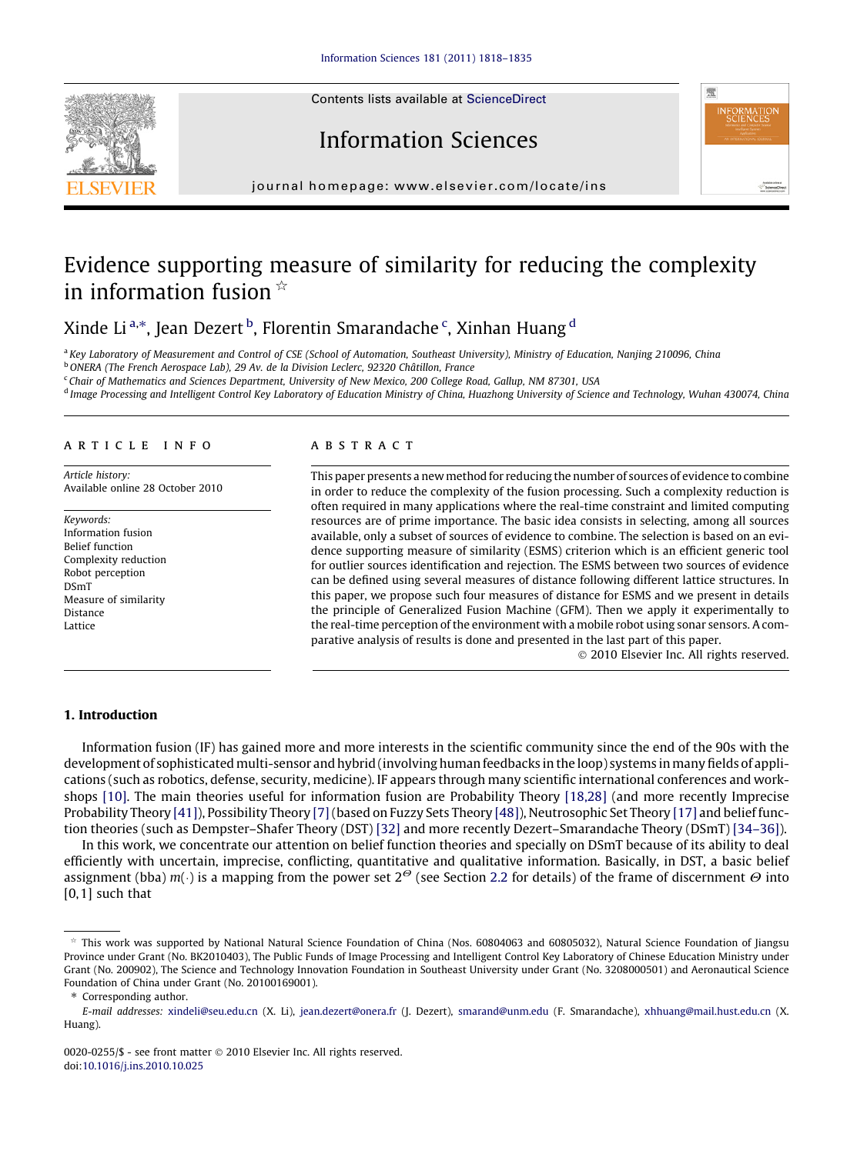Contents lists available at [ScienceDirect](http://www.sciencedirect.com/science/journal/00200255)







journal homepage: [www.elsevier.com/locate/ins](http://www.elsevier.com/locate/ins)

# Evidence supporting measure of similarity for reducing the complexity in information fusion  $\dot{\mathbb{R}}$

Xinde Li $^{\mathrm{a},\ast},$  Jean Dezert $^{\mathrm{b}}$ , Florentin Smarandache $^{\mathrm{c}}$ , Xinhan Huang $^{\mathrm{d}}$ 

<sup>a</sup> Key Laboratory of Measurement and Control of CSE (School of Automation, Southeast University), Ministry of Education, Nanjing 210096, China

<sup>b</sup> ONERA (The French Aerospace Lab), 29 Av. de la Division Leclerc, 92320 Châtillon, France

<sup>c</sup> Chair of Mathematics and Sciences Department, University of New Mexico, 200 College Road, Gallup, NM 87301, USA

d Image Processing and Intelligent Control Key Laboratory of Education Ministry of China, Huazhong University of Science and Technology, Wuhan 430074, China

#### article info

Article history: Available online 28 October 2010

Keywords: Information fusion Belief function Complexity reduction Robot perception DSmT Measure of similarity Distance Lattice

#### **ABSTRACT**

This paper presents a new method for reducing the number of sources of evidence to combine in order to reduce the complexity of the fusion processing. Such a complexity reduction is often required in many applications where the real-time constraint and limited computing resources are of prime importance. The basic idea consists in selecting, among all sources available, only a subset of sources of evidence to combine. The selection is based on an evidence supporting measure of similarity (ESMS) criterion which is an efficient generic tool for outlier sources identification and rejection. The ESMS between two sources of evidence can be defined using several measures of distance following different lattice structures. In this paper, we propose such four measures of distance for ESMS and we present in details the principle of Generalized Fusion Machine (GFM). Then we apply it experimentally to the real-time perception of the environment with a mobile robot using sonar sensors. A comparative analysis of results is done and presented in the last part of this paper.

- 2010 Elsevier Inc. All rights reserved.

#### 1. Introduction

Information fusion (IF) has gained more and more interests in the scientific community since the end of the 90s with the development of sophisticated multi-sensor and hybrid (involving human feedbacks in the loop) systems inmany fields of applications (such as robotics, defense, security, medicine). IF appears through many scientific international conferences and workshops [\[10\]](#page-16-0). The main theories useful for information fusion are Probability Theory [\[18,28\]](#page-16-0) (and more recently Imprecise Probability Theory [\[41\]\)](#page-17-0), Possibility Theory [\[7\]](#page-16-0)(based on Fuzzy Sets Theory [\[48\]\)](#page-17-0), Neutrosophic Set Theory [\[17\]](#page-16-0) and belief function theories (such as Dempster–Shafer Theory (DST) [\[32\]](#page-17-0) and more recently Dezert–Smarandache Theory (DSmT) [\[34–36\]](#page-17-0)).

In this work, we concentrate our attention on belief function theories and specially on DSmT because of its ability to deal efficiently with uncertain, imprecise, conflicting, quantitative and qualitative information. Basically, in DST, a basic belief assignment (bba) m( $\cdot$ ) is a mapping from the power set 2 $^{\varTheta}$  (see Section 2.2 for details) of the frame of discernment  $\varTheta$  into  $[0,1]$  such that

 $*$  This work was supported by National Natural Science Foundation of China (Nos. 60804063 and 60805032), Natural Science Foundation of Jiangsu Province under Grant (No. BK2010403), The Public Funds of Image Processing and Intelligent Control Key Laboratory of Chinese Education Ministry under Grant (No. 200902), The Science and Technology Innovation Foundation in Southeast University under Grant (No. 3208000501) and Aeronautical Science Foundation of China under Grant (No. 20100169001).

<sup>⇑</sup> Corresponding author.

E-mail addresses: [xindeli@seu.edu.cn](mailto:xindeli@seu.edu.cn) (X. Li), [jean.dezert@onera.fr](mailto:jean.dezert@onera.fr) (J. Dezert), [smarand@unm.edu](mailto:smarand@unm.edu) (F. Smarandache), [xhhuang@mail.hust.edu.cn](mailto:xhhuang@mail.hust.edu.cn) (X. Huang).

<sup>0020-0255/\$ -</sup> see front matter © 2010 Elsevier Inc. All rights reserved. doi[:10.1016/j.ins.2010.10.025](http://dx.doi.org/10.1016/j.ins.2010.10.025)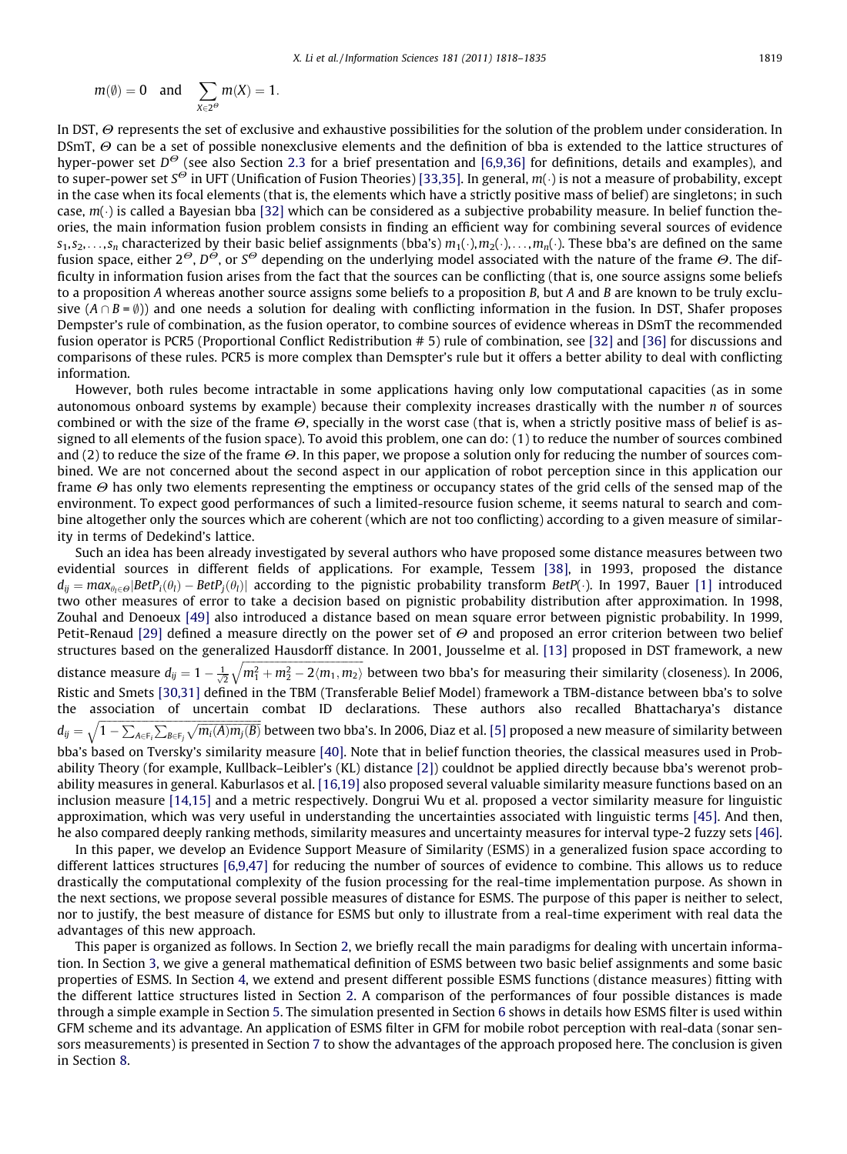$$
m(\emptyset)=0 \quad \text{and} \quad \sum_{X\in 2^\Theta} m(X)=1.
$$

In DST,  $\Theta$  represents the set of exclusive and exhaustive possibilities for the solution of the problem under consideration. In DSmT,  $\Theta$  can be a set of possible nonexclusive elements and the definition of bba is extended to the lattice structures of hyper-power set  $D^{\Theta}$  (see also Section 2.3 for a brief presentation and [\[6,9,36\]](#page-16-0) for definitions, details and examples), and to super-power set S<sup>O</sup> in UFT (Unification of Fusion Theories) [\[33,35\]](#page-17-0). In general, m(·) is not a measure of probability, except in the case when its focal elements (that is, the elements which have a strictly positive mass of belief) are singletons; in such case, m( $\cdot$ ) is called a Bayesian bba [\[32\]](#page-17-0) which can be considered as a subjective probability measure. In belief function theories, the main information fusion problem consists in finding an efficient way for combining several sources of evidence  $s_1,s_2,\ldots,s_n$  characterized by their basic belief assignments (bba's)  $m_1(\cdot),m_2(\cdot),\ldots,m_n(\cdot)$ . These bba's are defined on the same fusion space, either  $2^{\Theta}$ ,  $D^{\Theta}$ , or  $S^{\Theta}$  depending on the underlying model associated with the nature of the frame  $\Theta$ . The difficulty in information fusion arises from the fact that the sources can be conflicting (that is, one source assigns some beliefs to a proposition A whereas another source assigns some beliefs to a proposition B, but A and B are known to be truly exclusive  $(A \cap B = \emptyset)$  and one needs a solution for dealing with conflicting information in the fusion. In DST, Shafer proposes Dempster's rule of combination, as the fusion operator, to combine sources of evidence whereas in DSmT the recommended fusion operator is PCR5 (Proportional Conflict Redistribution # 5) rule of combination, see [\[32\]](#page-17-0) and [\[36\]](#page-17-0) for discussions and comparisons of these rules. PCR5 is more complex than Demspter's rule but it offers a better ability to deal with conflicting information.

However, both rules become intractable in some applications having only low computational capacities (as in some autonomous onboard systems by example) because their complexity increases drastically with the number  $n$  of sources combined or with the size of the frame  $\Theta$ , specially in the worst case (that is, when a strictly positive mass of belief is assigned to all elements of the fusion space). To avoid this problem, one can do: (1) to reduce the number of sources combined and (2) to reduce the size of the frame  $\Theta$ . In this paper, we propose a solution only for reducing the number of sources combined. We are not concerned about the second aspect in our application of robot perception since in this application our frame  $\Theta$  has only two elements representing the emptiness or occupancy states of the grid cells of the sensed map of the environment. To expect good performances of such a limited-resource fusion scheme, it seems natural to search and combine altogether only the sources which are coherent (which are not too conflicting) according to a given measure of similarity in terms of Dedekind's lattice.

Such an idea has been already investigated by several authors who have proposed some distance measures between two evidential sources in different fields of applications. For example, Tessem [\[38\]](#page-17-0), in 1993, proposed the distance  $d_{ij}=max_{\theta_l\in\Theta}|\textit{BetP}_i(\theta_l)-\textit{BetP}_j(\theta_l)|$  according to the pignistic probability transform  $\textit{BetP}(\cdot)$ . In 1997, Bauer [\[1\]](#page-16-0) introduced two other measures of error to take a decision based on pignistic probability distribution after approximation. In 1998, Zouhal and Denoeux [\[49\]](#page-17-0) also introduced a distance based on mean square error between pignistic probability. In 1999, Petit-Renaud [\[29\]](#page-16-0) defined a measure directly on the power set of  $\Theta$  and proposed an error criterion between two belief structures based on the generalized Hausdorff distance. In 2001, Jousselme et al. [\[13\]](#page-16-0) proposed in DST framework, a new distance measure  $d_{ij} = 1 - \frac{1}{\sqrt{2}}\sqrt{m_1^2 + m_2^2 - 2\langle m_1, m_2 \rangle}$  between two bba's for measuring their similarity (closeness). In 2006, Ristic and Smets [\[30,31\]](#page-16-0) defined in the TBM (Transferable Belief Model) framework a TBM-distance between bba's to solve the association of uncertain combat ID declarations. These authors also recalled Bhattacharya's distance  $d_{ij}=\sqrt{1-\sum_{A\in\mathsf{F}_i}\sum_{B\in\mathsf{F}_j}\sqrt{m_i(A)m_j(B)}}$  between two bba's. In 2006, Diaz et al. [\[5\]](#page-16-0) proposed a new measure of similarity between bba's based on Tversky's similarity measure [\[40\].](#page-17-0) Note that in belief function theories, the classical measures used in Probability Theory (for example, Kullback–Leibler's (KL) distance [\[2\]\)](#page-16-0) couldnot be applied directly because bba's werenot probability measures in general. Kaburlasos et al. [\[16,19\]](#page-16-0) also proposed several valuable similarity measure functions based on an inclusion measure [\[14,15\]](#page-16-0) and a metric respectively. Dongrui Wu et al. proposed a vector similarity measure for linguistic approximation, which was very useful in understanding the uncertainties associated with linguistic terms [\[45\]](#page-17-0). And then, he also compared deeply ranking methods, similarity measures and uncertainty measures for interval type-2 fuzzy sets [\[46\]](#page-17-0).

In this paper, we develop an Evidence Support Measure of Similarity (ESMS) in a generalized fusion space according to different lattices structures [\[6,9,47\]](#page-16-0) for reducing the number of sources of evidence to combine. This allows us to reduce drastically the computational complexity of the fusion processing for the real-time implementation purpose. As shown in the next sections, we propose several possible measures of distance for ESMS. The purpose of this paper is neither to select, nor to justify, the best measure of distance for ESMS but only to illustrate from a real-time experiment with real data the advantages of this new approach.

This paper is organized as follows. In Section 2, we briefly recall the main paradigms for dealing with uncertain information. In Section 3, we give a general mathematical definition of ESMS between two basic belief assignments and some basic properties of ESMS. In Section 4, we extend and present different possible ESMS functions (distance measures) fitting with the different lattice structures listed in Section 2. A comparison of the performances of four possible distances is made through a simple example in Section 5. The simulation presented in Section 6 shows in details how ESMS filter is used within GFM scheme and its advantage. An application of ESMS filter in GFM for mobile robot perception with real-data (sonar sensors measurements) is presented in Section 7 to show the advantages of the approach proposed here. The conclusion is given in Section 8.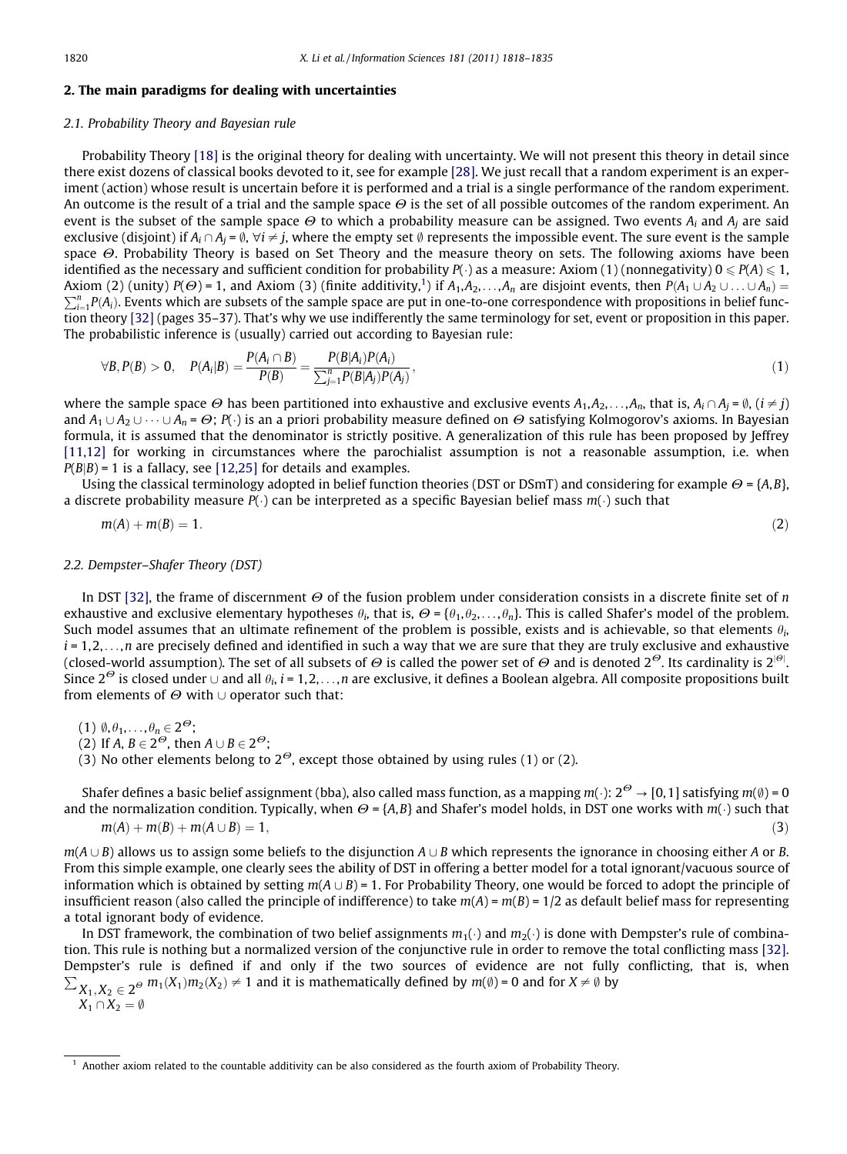# <span id="page-2-0"></span>2. The main paradigms for dealing with uncertainties

# 2.1. Probability Theory and Bayesian rule

Probability Theory [\[18\]](#page-16-0) is the original theory for dealing with uncertainty. We will not present this theory in detail since there exist dozens of classical books devoted to it, see for example [\[28\].](#page-16-0) We just recall that a random experiment is an experiment (action) whose result is uncertain before it is performed and a trial is a single performance of the random experiment. An outcome is the result of a trial and the sample space  $\Theta$  is the set of all possible outcomes of the random experiment. An event is the subset of the sample space  $\Theta$  to which a probability measure can be assigned. Two events  $A_i$  and  $A_j$  are said exclusive (disjoint) if  $A_i \cap A_j = \emptyset$ ,  $\forall i \neq j$ , where the empty set  $\emptyset$  represents the impossible event. The sure event is the sample space  $\Theta$ . Probability Theory is based on Set Theory and the measure theory on sets. The following axioms have been identified as the necessary and sufficient condition for probability  $P(\cdot)$  as a measure: Axiom (1) (nonnegativity)  $0 \leqslant P(A) \leqslant 1$ , Axiom (2) (unity)  $P(\Theta)$  = 1, and Axiom (3) (finite additivity,<sup>1</sup>) if  $A_1,A_2,\ldots,A_n$  are disjoint events, then  $P(A_1\cup A_2\cup\ldots\cup A_n)=$  $\sum_{i=1}^n P(A_i)$ . Events which are subsets of the sample space are put in one-to-one correspondence with propositions in belief function theory [\[32\]](#page-17-0) (pages 35–37). That's why we use indifferently the same terminology for set, event or proposition in this paper. The probabilistic inference is (usually) carried out according to Bayesian rule:

$$
\forall B, P(B) > 0, \quad P(A_i|B) = \frac{P(A_i \cap B)}{P(B)} = \frac{P(B|A_i)P(A_i)}{\sum_{j=1}^{n} P(B|A_j)P(A_j)},
$$
\n(1)

where the sample space  $\Theta$  has been partitioned into exhaustive and exclusive events  $A_1, A_2, \ldots, A_n$ , that is,  $A_i \cap A_i = \emptyset$ ,  $(i \neq i)$ and  $A_1\cup A_2\cup\cdots\cup A_n$  =  $\Theta$ ;  $P(\cdot)$  is an a priori probability measure defined on  $\Theta$  satisfying Kolmogorov's axioms. In Bayesian formula, it is assumed that the denominator is strictly positive. A generalization of this rule has been proposed by Jeffrey [\[11,12\]](#page-16-0) for working in circumstances where the parochialist assumption is not a reasonable assumption, i.e. when  $P(B|B) = 1$  is a fallacy, see [\[12,25\]](#page-16-0) for details and examples.

Using the classical terminology adopted in belief function theories (DST or DSmT) and considering for example  $\Theta = \{A, B\}$ , a discrete probability measure  $P(\cdot)$  can be interpreted as a specific Bayesian belief mass  $m(\cdot)$  such that

$$
m(A) + m(B) = 1. \tag{2}
$$

#### 2.2. Dempster–Shafer Theory (DST)

In DST [\[32\],](#page-17-0) the frame of discernment  $\Theta$  of the fusion problem under consideration consists in a discrete finite set of n exhaustive and exclusive elementary hypotheses  $\theta_i$ , that is,  $\Theta = \{\theta_1, \theta_2, \dots, \theta_n\}$ . This is called Shafer's model of the problem. Such model assumes that an ultimate refinement of the problem is possible, exists and is achievable, so that elements  $\theta_i$ ,  $i = 1, 2, \ldots, n$  are precisely defined and identified in such a way that we are sure that they are truly exclusive and exhaustive (closed-world assumption). The set of all subsets of  $\Theta$  is called the power set of  $\Theta$  and is denoted 2<sup> $\Theta$ </sup>. Its cardinality is 2<sup>|0|</sup>. Since  $2^{\Theta}$  is closed under  $\cup$  and all  $\theta_i$ , i = 1,2,...,n are exclusive, it defines a Boolean algebra. All composite propositions built from elements of  $\Theta$  with  $\cup$  operator such that:

(1)  $\emptyset, \theta_1, \ldots, \theta_n \in 2^{\Theta}$ ;

(2) If A,  $B \in 2^{\Theta}$ , then  $A \cup B \in 2^{\Theta}$ ;

(3) No other elements belong to  $2^{\Theta}$ , except those obtained by using rules (1) or (2).

Shafer defines a basic belief assignment (bba), also called mass function, as a mapping m( $\cdot$ ): 2 $^\Theta$   $\to$  [0,1] satisfying m( $\emptyset$ ) = 0 and the normalization condition. Typically, when  $\Theta$  = {A,B} and Shafer's model holds, in DST one works with  $m(\cdot)$  such that  $m(A) + m(B) + m(A \cup B) = 1,$  (3)

 $m(A \cup B)$  allows us to assign some beliefs to the disjunction  $A \cup B$  which represents the ignorance in choosing either A or B. From this simple example, one clearly sees the ability of DST in offering a better model for a total ignorant/vacuous source of information which is obtained by setting  $m(A \cup B) = 1$ . For Probability Theory, one would be forced to adopt the principle of insufficient reason (also called the principle of indifference) to take  $m(A) = m(B) = 1/2$  as default belief mass for representing a total ignorant body of evidence.

In DST framework, the combination of two belief assignments  $m_1(\cdot)$  and  $m_2(\cdot)$  is done with Dempster's rule of combination. This rule is nothing but a normalized version of the conjunctive rule in order to remove the total conflicting mass [\[32\]](#page-17-0). Dempster's rule is defined if and only if the two sources of evidence are not fully conflicting, that is, when  $\sum_{X_1,X_2 \in 2^\Theta} m_1(X_1)m_2(X_2) \neq 1$  and it is mathematically defined by  $m(\emptyset) = 0$  and for  $X \neq \emptyset$  by

 $X_1 \cap X_2 = \emptyset$ 

 $<sup>1</sup>$  Another axiom related to the countable additivity can be also considered as the fourth axiom of Probability Theory.</sup>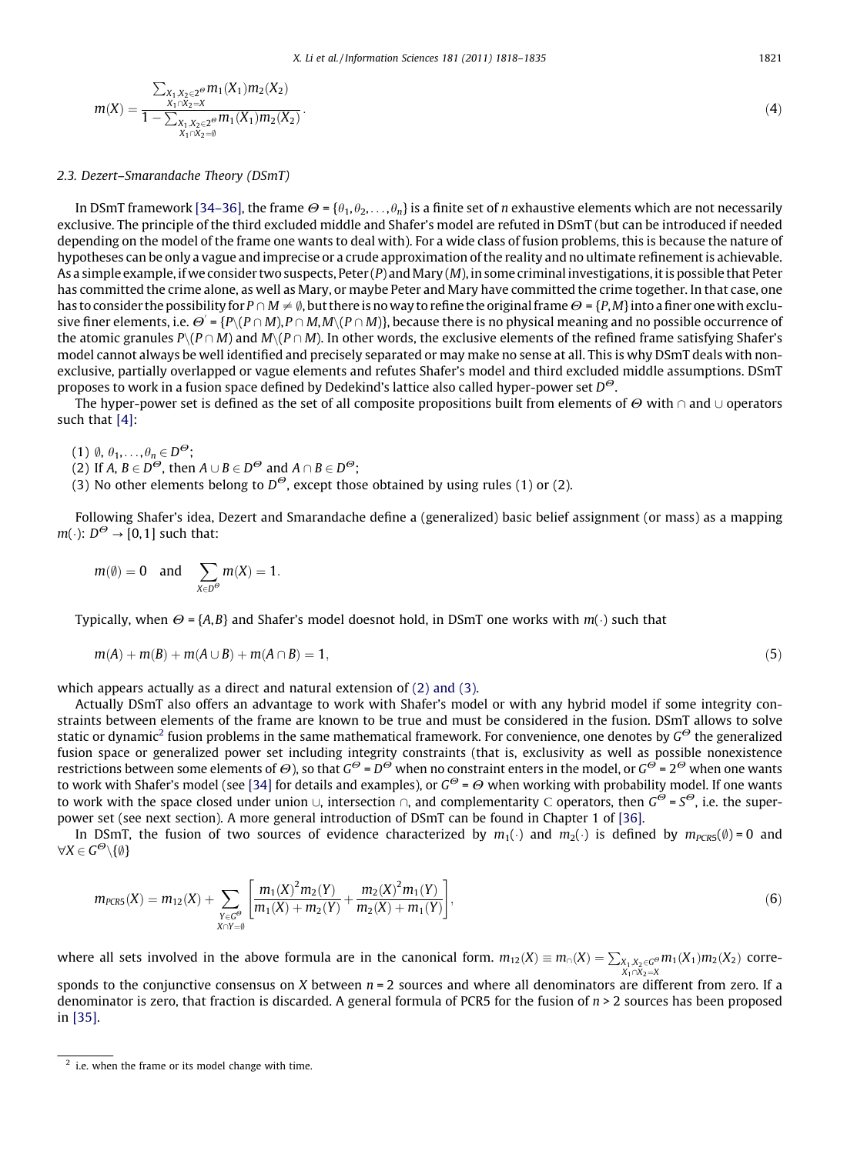<span id="page-3-0"></span>
$$
m(X) = \frac{\sum_{X_1, X_2 \in 2^{\Theta}} m_1(X_1) m_2(X_2)}{1 - \sum_{\substack{X_1, X_2 \in 2^{\Theta}}}{X_1 \cap X_2 = \emptyset}} \tag{4}
$$

#### 2.3. Dezert–Smarandache Theory (DSmT)

In DSmT framework [\[34–36\]](#page-17-0), the frame  $\Theta = {\theta_1, \theta_2, \ldots, \theta_n}$  is a finite set of *n* exhaustive elements which are not necessarily exclusive. The principle of the third excluded middle and Shafer's model are refuted in DSmT (but can be introduced if needed depending on the model of the frame one wants to deal with). For a wide class of fusion problems, this is because the nature of hypotheses can be only a vague and imprecise or a crude approximation of the reality and no ultimate refinement is achievable. As a simple example, if we consider two suspects, Peter  $(P)$  and Mary  $(M)$ , in some criminal investigations, it is possible that Peter has committed the crime alone, as well as Mary, or maybe Peter and Mary have committed the crime together. In that case, one has to consider the possibility for  $P \cap M \neq \emptyset$ , but there is no way to refine the original frame  $\Theta = \{P, M\}$  into a finer one with exclusive finer elements, i.e.  $\Theta^{'}$  = {P\(P  $\cap$  M),P  $\cap$  M,M\(P  $\cap$  M)}, because there is no physical meaning and no possible occurrence of the atomic granules  $P(\{P \cap M\})$  and  $M\setminus (P \cap M)$ . In other words, the exclusive elements of the refined frame satisfying Shafer's model cannot always be well identified and precisely separated or may make no sense at all. This is why DSmT deals with nonexclusive, partially overlapped or vague elements and refutes Shafer's model and third excluded middle assumptions. DSmT proposes to work in a fusion space defined by Dedekind's lattice also called hyper-power set  $D^{\Theta}$ .

The hyper-power set is defined as the set of all composite propositions built from elements of  $\Theta$  with  $\cap$  and  $\cup$  operators such that [\[4\]:](#page-16-0)

 $(1)$   $\emptyset$ ,  $\theta_1, \ldots, \theta_n \in D^{\Theta}$ ;

(2) If  $A, B \in D^{\Theta}$ , then  $A \cup B \in D^{\Theta}$  and  $A \cap B \in D^{\Theta}$ ;

(3) No other elements belong to  $D^{\Theta}$ , except those obtained by using rules (1) or (2).

Following Shafer's idea, Dezert and Smarandache define a (generalized) basic belief assignment (or mass) as a mapping  $m(\cdot): D^{\Theta} \rightarrow [0,1]$  such that:

$$
m(\emptyset) = 0
$$
 and  $\sum_{X \in D^{\Theta}} m(X) = 1$ .

Typically, when  $\varTheta$  = {A,B} and Shafer's model doesnot hold, in DSmT one works with m( $\cdot$ ) such that

$$
m(A) + m(B) + m(A \cup B) + m(A \cap B) = 1,\tag{5}
$$

which appears actually as a direct and natural extension of [\(2\) and \(3\)](#page-2-0).

Actually DSmT also offers an advantage to work with Shafer's model or with any hybrid model if some integrity constraints between elements of the frame are known to be true and must be considered in the fusion. DSmT allows to solve static or dynamic<sup>2</sup> fusion problems in the same mathematical framework. For convenience, one denotes by  $G^{\Theta}$  the generalized fusion space or generalized power set including integrity constraints (that is, exclusivity as well as possible nonexistence restrictions between some elements of  $\Theta$ ), so that  $G^{\Theta}$  =  $D^{\Theta}$  when no constraint enters in the model, or  $G^{\Theta}$  = 2 $^{\Theta}$  when one wants to work with Shafer's model (see [\[34\]](#page-17-0) for details and examples), or  $G^{\Theta} = \Theta$  when working with probability model. If one wants to work with the space closed under union  $\cup$ , intersection  $\cap$ , and complementarity C operators, then  $G^{\Theta} = S^{\Theta}$ , i.e. the superpower set (see next section). A more general introduction of DSmT can be found in Chapter 1 of [\[36\].](#page-17-0)

In DSmT, the fusion of two sources of evidence characterized by  $m_1(\cdot)$  and  $m_2(\cdot)$  is defined by  $m_{PCRS}(\emptyset)$ =0 and  $\forall X \in G^{\Theta}\backslash \{\emptyset\}$ 

$$
m_{PCRS}(X) = m_{12}(X) + \sum_{\substack{Y \in G^{\Theta} \\ X \cap Y = \emptyset}} \left[ \frac{m_1(X)^2 m_2(Y)}{m_1(X) + m_2(Y)} + \frac{m_2(X)^2 m_1(Y)}{m_2(X) + m_1(Y)} \right],
$$
(6)

where all sets involved in the above formula are in the canonical form.  $m_{12}(X) \equiv m_\cap(X) = \sum_{X_1,X_2 \in G^6}$  $m_1(X_1)m_2(X_2)$  corre-

sponds to the conjunctive consensus on X between  $n = 2$  sources and where all denominators are different from zero. If a denominator is zero, that fraction is discarded. A general formula of PCR5 for the fusion of  $n > 2$  sources has been proposed in [\[35\]](#page-17-0).

 $<sup>2</sup>$  i.e. when the frame or its model change with time.</sup>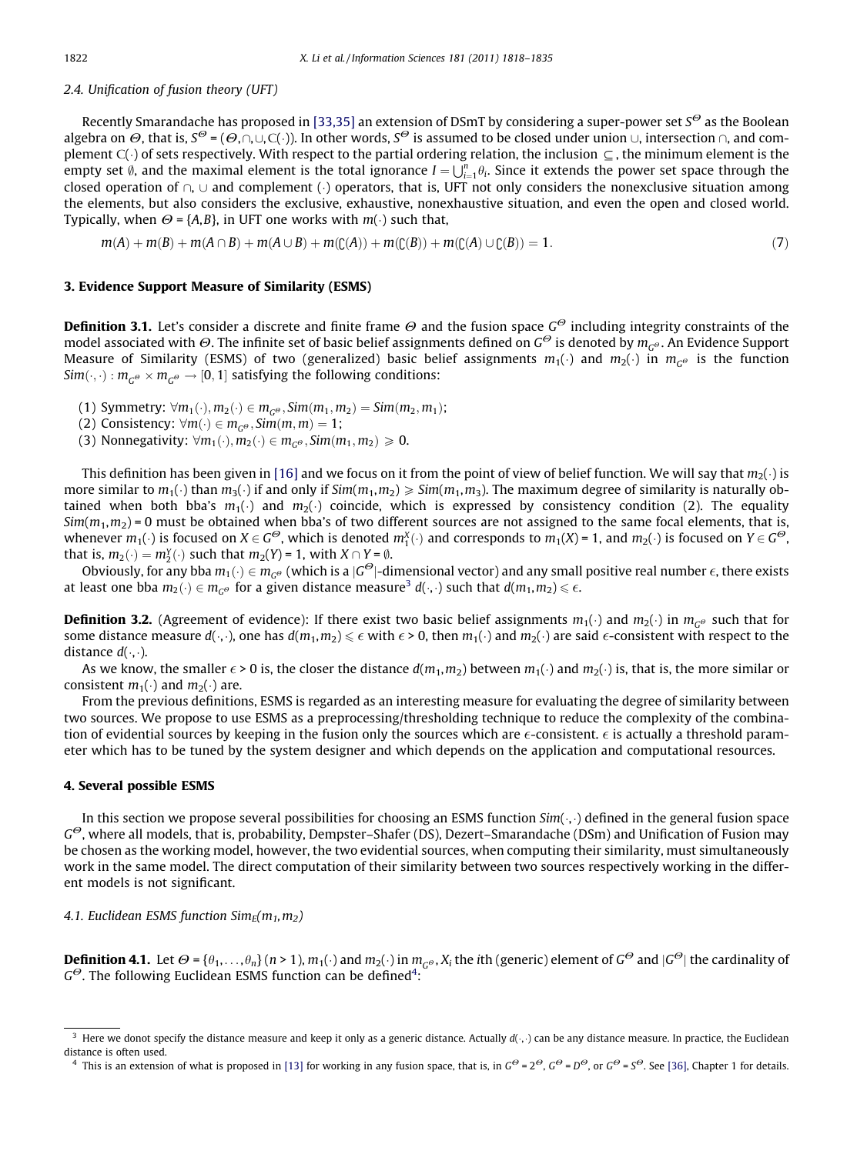# <span id="page-4-0"></span>2.4. Unification of fusion theory (UFT)

Recently Smarandache has proposed in [\[33,35\]](#page-17-0) an extension of DSmT by considering a super-power set  $S^{\Theta}$  as the Boolean algebra on  $\Theta$ , that is,  $S^\Theta = (\Theta,\cap,\cup,C(\cdot))$ . In other words,  $S^\Theta$  is assumed to be closed under union  $\cup$ , intersection  $\cap$ , and complement C( $\cdot$ ) of sets respectively. With respect to the partial ordering relation, the inclusion  $\subseteq$  , the minimum element is the empty set  $\emptyset$ , and the maximal element is the total ignorance  $I = \bigcup_{i=1}^n \theta_i$ . Since it extends the power set space through the closed operation of  $\cap, \cup$  and complement ( ) operators, that is, UFT not only considers the nonexclusive situation among the elements, but also considers the exclusive, exhaustive, nonexhaustive situation, and even the open and closed world. Typically, when  $\Theta = \{A, B\}$ , in UFT one works with  $m(\cdot)$  such that,

$$
m(A) + m(B) + m(A \cap B) + m(A \cup B) + m(C(A)) + m(C(B)) + m(C(A) \cup C(B)) = 1.
$$
\n(7)

### 3. Evidence Support Measure of Similarity (ESMS)

**Definition 3.1.** Let's consider a discrete and finite frame  $\Theta$  and the fusion space  $G^{\Theta}$  including integrity constraints of the model associated with  $\Theta$ . The infinite set of basic belief assignments defined on  $G^{\Theta}$  is denoted by  $m_{C^{\Theta}}$ . An Evidence Support Measure of Similarity (ESMS) of two (generalized) basic belief assignments  $m_1(\cdot)$  and  $m_2(\cdot)$  in  $m_{G^{\Theta}}$  is the function Sim $(\cdot,\cdot): m_{G^\Theta}\times m_{G^\Theta} \to [0,1]$  satisfying the following conditions:

- (1) Symmetry:  $\forall m_1(\cdot), m_2(\cdot) \in m_{G^{\Theta}}, Sim(m_1, m_2) = Sim(m_2, m_1);$
- (2) Consistency:  $\forall m(\cdot) \in m_{G^{\Theta}}, Sim(m, m) = 1;$
- (3) Nonnegativity:  $\forall m_1(\cdot), m_2(\cdot) \in m_{G^{\Theta}}, Sim(m_1, m_2) \geq 0.$

This definition has been given in [\[16\]](#page-16-0) and we focus on it from the point of view of belief function. We will say that  $m_2(\cdot)$  is more similar to  $m_1(\cdot)$  than  $m_3(\cdot)$  if and only if Sim $(m_1,m_2)\geqslant Sim(m_1,m_3)$ . The maximum degree of similarity is naturally obtained when both bba's  $m_1(\cdot)$  and  $m_2(\cdot)$  coincide, which is expressed by consistency condition (2). The equality  $Sim(m_1, m_2) = 0$  must be obtained when bba's of two different sources are not assigned to the same focal elements, that is, whenever  $m_1(\cdot)$  is focused on  $X \in G^{\Theta}$ , which is denoted  $m_1^X(\cdot)$  and corresponds to  $m_1(X)$  = 1, and  $m_2(\cdot)$  is focused on  $Y \in G^{\Theta}$ , that is,  $m_2(\cdot) = m_2^Y(\cdot)$  such that  $m_2(Y) = 1$ , with  $X \cap Y = \emptyset$ .

Obviously, for any bba  $m_1(\cdot) \in m_{G^{\Theta}}$  (which is a  $|G^{\Theta}|$ -dimensional vector) and any small positive real number  $\epsilon$ , there exists at least one bba  $m_2(\cdot) \in m_{G^\Theta}$  for a given distance measure<sup>3</sup>  $d(\cdot,\cdot)$  such that  $d(m_1,m_2)$   $\leqslant$   $\epsilon$ .

**Definition 3.2.** (Agreement of evidence): If there exist two basic belief assignments  $m_1(\cdot)$  and  $m_2(\cdot)$  in  $m_{G^{\Theta}}$  such that for some distance measure  $d(\cdot,\cdot)$ , one has  $d(m_1,m_2)\leq \epsilon$  with  $\epsilon>0$ , then  $m_1(\cdot)$  and  $m_2(\cdot)$  are said  $\epsilon$ -consistent with respect to the distance  $d(\cdot, \cdot)$ .

As we know, the smaller  $\epsilon > 0$  is, the closer the distance  $d(m_1, m_2)$  between  $m_1(\cdot)$  and  $m_2(\cdot)$  is, that is, the more similar or consistent  $m_1(\cdot)$  and  $m_2(\cdot)$  are.

From the previous definitions, ESMS is regarded as an interesting measure for evaluating the degree of similarity between two sources. We propose to use ESMS as a preprocessing/thresholding technique to reduce the complexity of the combination of evidential sources by keeping in the fusion only the sources which are  $\epsilon$ -consistent.  $\epsilon$  is actually a threshold parameter which has to be tuned by the system designer and which depends on the application and computational resources.

#### 4. Several possible ESMS

In this section we propose several possibilities for choosing an ESMS function Sim( $\cdot,\cdot$ ) defined in the general fusion space  $G^{\Theta}$ , where all models, that is, probability, Dempster–Shafer (DS), Dezert–Smarandache (DSm) and Unification of Fusion may be chosen as the working model, however, the two evidential sources, when computing their similarity, must simultaneously work in the same model. The direct computation of their similarity between two sources respectively working in the different models is not significant.

# 4.1. Euclidean ESMS function  $Sim_F(m_1, m_2)$

**Definition 4.1.** Let  $\Theta$  = { $\theta_1, \ldots, \theta_n$ } (n > 1), m<sub>1</sub>(·) and m<sub>2</sub>(·) in m<sub>G</sub> $\phi$ , X<sub>i</sub> the *i*th (generic) element of G<sup> $\Theta$ </sup> and  $|G^{\Theta}|$  the cardinality of  $G^{\Theta}$ . The following Euclidean ESMS function can be defined<sup>4</sup>:

<sup>&</sup>lt;sup>3</sup> Here we donot specify the distance measure and keep it only as a generic distance. Actually  $d(\cdot, \cdot)$  can be any distance measure. In practice, the Euclidean distance is often used.

<sup>&</sup>lt;sup>4</sup> This is an extension of what is proposed in [\[13\]](#page-16-0) for working in any fusion space, that is, in  $G^{\Theta} = 2^{\Theta}$ ,  $G^{\Theta} = D^{\Theta}$ , or  $G^{\Theta} = S^{\Theta}$ . See [\[36\],](#page-17-0) Chapter 1 for details.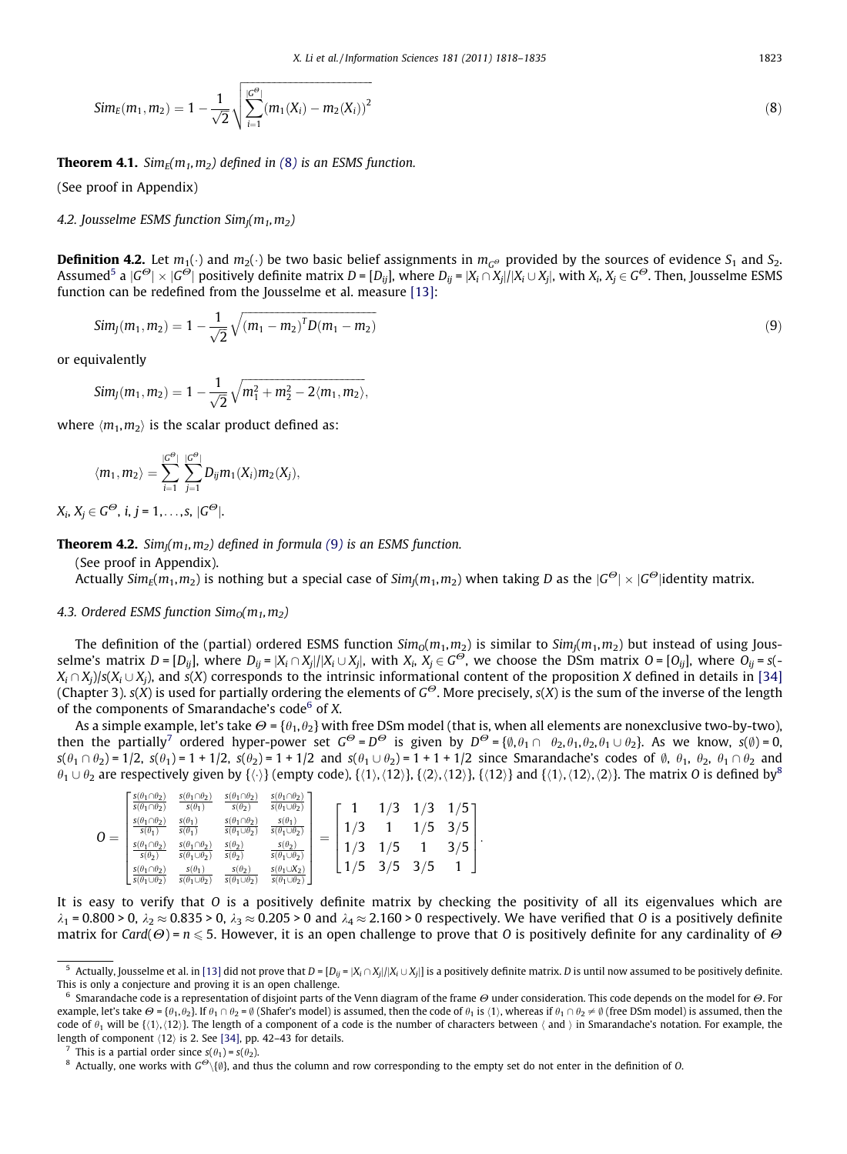<span id="page-5-0"></span>
$$
Sim_E(m_1, m_2) = 1 - \frac{1}{\sqrt{2}} \sqrt{\sum_{i=1}^{|G^{\Theta}|} (m_1(X_i) - m_2(X_i))^2}
$$
\n(8)

**Theorem 4.1.** Sim<sub>E</sub>( $m_1, m_2$ ) defined in ([8](#page-4-0)) is an ESMS function.

(See proof in Appendix)

4.2. Jousselme ESMS function  $Sim_l(m_1, m_2)$ 

**Definition 4.2.** Let  $m_1(\cdot)$  and  $m_2(\cdot)$  be two basic belief assignments in  $m_{G^{\Theta}}$  provided by the sources of evidence S<sub>1</sub> and S<sub>2</sub>. Assumed<sup>5</sup> a  $|G^{\Theta}| \times |G^{\Theta}|$  positively definite matrix  $D = [D_{ij}]$ , where  $D_{ij} = |X_i \cap X_j|/|X_i \cup X_j|$ , with  $X_i, X_j \in G^{\Theta}$ . Then, Jousselme ESMS function can be redefined from the Jousselme et al. measure [\[13\]](#page-16-0):

$$
Sim_J(m_1, m_2) = 1 - \frac{1}{\sqrt{2}} \sqrt{(m_1 - m_2)^T D (m_1 - m_2)}
$$
\n(9)

or equivalently

$$
Sim_J(m_1, m_2) = 1 - \frac{1}{\sqrt{2}} \sqrt{m_1^2 + m_2^2 - 2 \langle m_1, m_2 \rangle},
$$

where  $\langle m_1, m_2 \rangle$  is the scalar product defined as:

$$
\langle m_1, m_2 \rangle = \sum_{i=1}^{|C^{\Theta}|} \sum_{j=1}^{|C^{\Theta}|} D_{ij} m_1(X_i) m_2(X_j),
$$

 $X_i, X_j \in G^\Theta$ , i, j = 1,..., s,  $|G^\Theta|$ .

**Theorem 4.2.** Sim<sub>I</sub>( $m_1, m_2$ ) defined in formula (9) is an ESMS function.

(See proof in Appendix). Actually  $Sim_F(m_1, m_2)$  is nothing but a special case of  $Sim_I(m_1, m_2)$  when taking D as the  $|G^{\Theta}| \times |G^{\Theta}|$ identity matrix.

# 4.3. Ordered ESMS function  $Sim_0(m_1, m_2)$

The definition of the (partial) ordered ESMS function  $Sim_0(m_1, m_2)$  is similar to  $Sim_l(m_1, m_2)$  but instead of using Jousselme's matrix  $D = [D_{ij}]$ , where  $D_{ij} = |X_i \cap X_j|/|X_i \cup X_j|$ , with  $X_i$ ,  $X_j \in G^{\overrightarrow{\Theta}}$ , we choose the DSm matrix  $O = [O_{ij}]$ , where  $O_{ij} = s(-1)$  $X_i \cap X_i$ )/s( $X_i \cup X_i$ ), and s(X) corresponds to the intrinsic informational content of the proposition X defined in details in [\[34\]](#page-17-0) (Chapter 3). s(X) is used for partially ordering the elements of  $G^{\Theta}$ . More precisely, s(X) is the sum of the inverse of the length of the components of Smarandache's code $6$  of X.

As a simple example, let's take  $\Theta = {\theta_1, \theta_2}$  with free DSm model (that is, when all elements are nonexclusive two-by-two), then the partially<sup>7</sup> ordered hyper-power set  $G^{\Theta} = D^{\Theta}$  is given by  $D^{\Theta} = \{\emptyset, \theta_1 \cap \theta_2, \theta_1, \theta_2, \theta_1 \cup \theta_2\}$ . As we know,  $s(\emptyset) = 0$ ,  $s(\theta_1 \cap \theta_2) = 1/2$ ,  $s(\theta_1) = 1 + 1/2$ ,  $s(\theta_2) = 1 + 1/2$  and  $s(\theta_1 \cup \theta_2) = 1 + 1 + 1/2$  since Smarandache's codes of  $\emptyset$ ,  $\theta_1$ ,  $\theta_2$ ,  $\theta_1 \cap \theta_2$  and  $\theta_1\cup\theta_2$  are respectively given by  $\{\langle\cdot\rangle\}$  (empty code),  $\{\langle 1\rangle,\langle 12\rangle\}$ ,  $\{\langle 2\rangle,\langle 12\rangle\}$ ,  $\{\langle 12\rangle\}$  and  $\{\langle 1\rangle,\langle 12\rangle,\langle 2\rangle\}$ . The matrix O is defined by  $^8$ 

| $S(\theta_1 \cap \theta_2)$<br>$S(\theta_1 \cap \theta_2)$<br>$S(\theta_1 \cap \theta_2)$<br>$s(\theta_1 \cap \theta_2)$<br>$s(\theta_2)$<br>$s(\theta_1)$<br>$s(\theta_1)$<br>$s(\theta_1 \cap \theta_2)$<br>$s(\theta_1 \cap \theta_2)$<br>$s(\theta_1)$<br>$s(\theta_1 \cup \theta_2)$<br>$s(\theta_1)$<br>$\overline{\phantom{a}}$<br>$s(\theta_1 \cap \theta_2)$<br>$s(\theta_2)$<br>$s(\theta_1 \cap \theta_2)$<br>$s(\theta_2)$<br>$s(\theta_2)$<br>$s(\theta_1 \cup \theta_2)$<br>$s(\theta_2)$<br>$s(\theta_1 \cap \theta_2)$<br>$s(\theta_1)$<br>$s(\theta_1 \cup \theta_2)$<br>$s(\theta_1 \cup \theta_2)$<br>$s(\theta_1 \cup \theta_2)$ | $s(\theta_1 \cap \theta_2)$<br>$s(\theta_1 \cup \theta_2)$<br>$S(\theta_1)$<br>$\overline{s(\theta_1 \cup \theta_2)}$<br>$s(\theta_2)$<br>$\overline{s(\theta_1 \cup \theta_2)}$<br>$s(\theta_1 \cup X_2)$<br>$s(\theta_1 \cup \theta_2)$ | רי<br>רי |  | ર | 5<br>5 |  |
|------------------------------------------------------------------------------------------------------------------------------------------------------------------------------------------------------------------------------------------------------------------------------------------------------------------------------------------------------------------------------------------------------------------------------------------------------------------------------------------------------------------------------------------------------------------------------------------------------------------------------------------------------|-------------------------------------------------------------------------------------------------------------------------------------------------------------------------------------------------------------------------------------------|----------|--|---|--------|--|
|------------------------------------------------------------------------------------------------------------------------------------------------------------------------------------------------------------------------------------------------------------------------------------------------------------------------------------------------------------------------------------------------------------------------------------------------------------------------------------------------------------------------------------------------------------------------------------------------------------------------------------------------------|-------------------------------------------------------------------------------------------------------------------------------------------------------------------------------------------------------------------------------------------|----------|--|---|--------|--|

It is easy to verify that O is a positively definite matrix by checking the positivity of all its eigenvalues which are  $\lambda_1$  = 0.800 > 0,  $\lambda_2 \approx 0.835$  > 0,  $\lambda_3 \approx 0.205$  > 0 and  $\lambda_4 \approx 2.160$  > 0 respectively. We have verified that O is a positively definite matrix for Card( $\Theta$ ) =  $n \le 5$ . However, it is an open challenge to prove that O is positively definite for any cardinality of  $\Theta$ 

<sup>&</sup>lt;sup>5</sup> Actually, Jousselme et al. in [\[13\]](#page-16-0) did not prove that  $D = [D_{ij} = |X_i \cap X_j|/|X_i \cup X_j|]$  is a positively definite matrix. *D* is until now assumed to be positively definite. This is only a conjecture and proving it is an open challenge.

 $6$  Smarandache code is a representation of disjoint parts of the Venn diagram of the frame  $\Theta$  under consideration. This code depends on the model for  $\Theta$ . For example, let's take  $\Theta = {\theta_1, \theta_2}$ . If  $\theta_1 \cap \theta_2 = \emptyset$  (Shafer's model) is assumed, then the code of  $\theta_1$  is  $\langle 1 \rangle$ , whereas if  $\theta_1 \cap \theta_2 \neq \emptyset$  (free DSm model) is assumed, then the code of  $\theta_1$  will be { $\{1\},\{12\}$ . The length of a component of a code is the number of characters between  $\langle$  and  $\rangle$  in Smarandache's notation. For example, the length of component  $\langle 12 \rangle$  is 2. See [\[34\]](#page-17-0), pp. 42–43 for details.

<sup>&</sup>lt;sup>7</sup> This is a partial order since  $s(\theta_1) = s(\theta_2)$ .

<sup>&</sup>lt;sup>8</sup> Actually, one works with  $G^{\Theta}\setminus\{0\}$ , and thus the column and row corresponding to the empty set do not enter in the definition of O.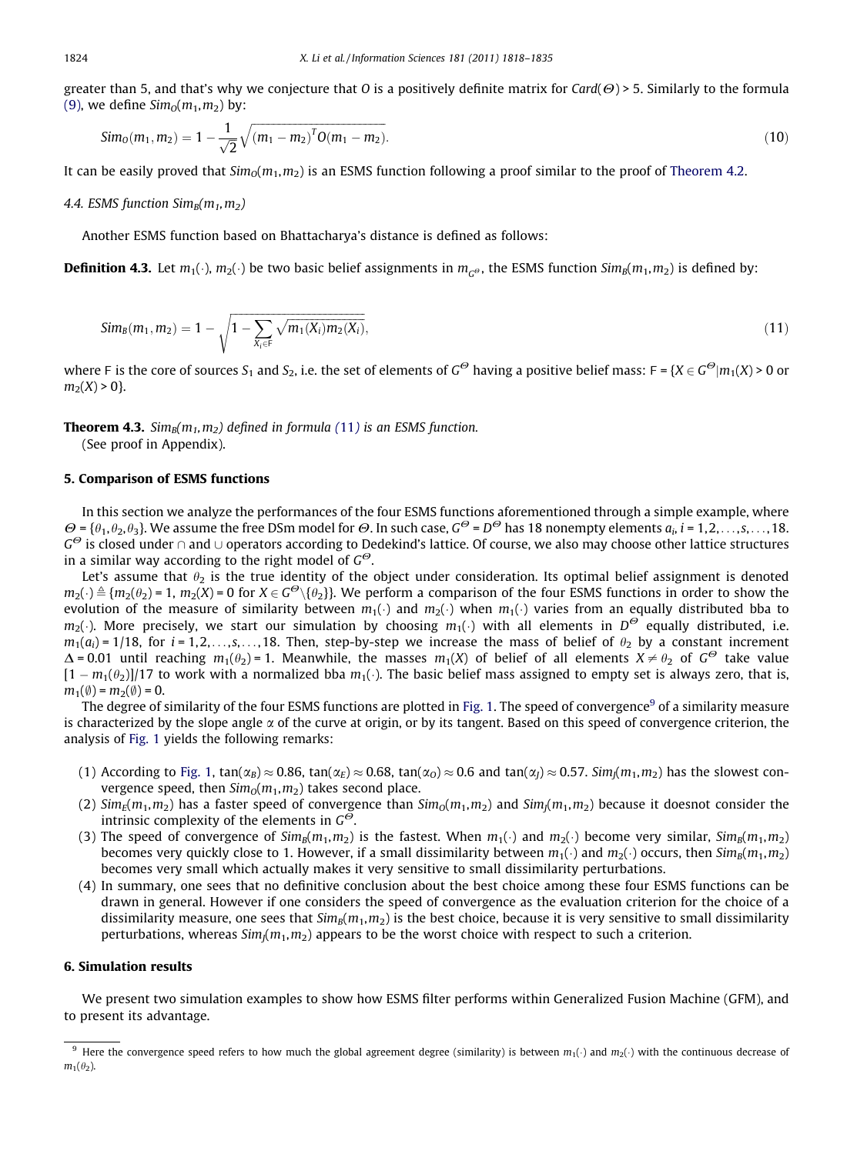greater than 5, and that's why we conjecture that O is a positively definite matrix for Card( $\Theta$ ) > 5. Similarly to the formula [\(9\),](#page-5-0) we define  $Sim_0(m_1, m_2)$  by:

$$
Sim_0(m_1, m_2) = 1 - \frac{1}{\sqrt{2}} \sqrt{(m_1 - m_2)^T O(m_1 - m_2)}.
$$
\n(10)

It can be easily proved that  $Sim_0(m_1, m_2)$  is an ESMS function following a proof similar to the proof of [Theorem 4.2.](#page-5-0)

#### 4.4. ESMS function  $Sim_B(m_1, m_2)$

Another ESMS function based on Bhattacharya's distance is defined as follows:

**Definition 4.3.** Let  $m_1(\cdot)$ ,  $m_2(\cdot)$  be two basic belief assignments in  $m_{G^o}$ , the ESMS function  $Sim_B(m_1, m_2)$  is defined by:

$$
Sim_B(m_1, m_2) = 1 - \sqrt{1 - \sum_{X_i \in F} \sqrt{m_1(X_i) m_2(X_i)}},
$$
\n(11)

where F is the core of sources  $S_1$  and  $S_2$ , i.e. the set of elements of  $G^{\Theta}$  having a positive belief mass:  $F = \{X \in G^{\Theta}| m_1(X) \geq 0 \text{ or } X\}$  $m_2(X) > 0$ .

**Theorem 4.3.** Sim<sub>B</sub> $(m_1, m_2)$  defined in formula (11) is an ESMS function.

(See proof in Appendix).

### 5. Comparison of ESMS functions

In this section we analyze the performances of the four ESMS functions aforementioned through a simple example, where  $\Theta = \{\theta_1, \theta_2, \theta_3\}$ . We assume the free DSm model for  $\Theta$ . In such case,  $G^{\Theta} = D^{\Theta}$  has 18 nonempty elements  $a_i$ ,  $i = 1,2,\ldots, s,\ldots,18$ .  $G^{\Theta}$  is closed under  $\cap$  and  $\cup$  operators according to Dedekind's lattice. Of course, we also may choose other lattice structures in a similar way according to the right model of  $G^{\Theta}$ .

Let's assume that  $\theta_2$  is the true identity of the object under consideration. Its optimal belief assignment is denoted  $m_2(\cdot)\triangleq$   $\{m_2(\theta_2)=1,\,m_2(X)=0\,\,\text{for}\,\,X\in G^O\setminus\{\theta_2\}\}.$  We perform a comparison of the four ESMS functions in order to show the evolution of the measure of similarity between  $m_1(\cdot)$  and  $m_2(\cdot)$  when  $m_1(\cdot)$  varies from an equally distributed bba to  $m_2(\cdot)$ . More precisely, we start our simulation by choosing  $m_1(\cdot)$  with all elements in  $D^{\Theta}$  equally distributed, i.e.  $m_1(a_i) = 1/18$ , for  $i = 1, 2, \ldots, s, \ldots, 18$ . Then, step-by-step we increase the mass of belief of  $\theta_2$  by a constant increment  $\Delta$  = 0.01 until reaching  $m_1(\theta_2)$  = 1. Meanwhile, the masses  $m_1(X)$  of belief of all elements  $X \neq \theta_2$  of  $G^{\Theta}$  take value  $[1-m_1(\theta_2)]/17$  to work with a normalized bba  $m_1(\cdot)$ . The basic belief mass assigned to empty set is always zero, that is,  $m_1(\emptyset) = m_2(\emptyset) = 0.$ 

The degree of similarity of the four ESMS functions are plotted in [Fig. 1](#page-7-0). The speed of convergence<sup>9</sup> of a similarity measure is characterized by the slope angle  $\alpha$  of the curve at origin, or by its tangent. Based on this speed of convergence criterion, the analysis of [Fig. 1](#page-7-0) yields the following remarks:

- (1) According to [Fig. 1,](#page-7-0) tan( $\alpha_B$ )  $\approx$  0.86, tan( $\alpha_E$ )  $\approx$  0.68, tan( $\alpha_O$ )  $\approx$  0.6 and tan( $\alpha_I$ )  $\approx$  0.57. Sim $(m_1, m_2)$  has the slowest convergence speed, then  $\lim_{n \to \infty} (m_1, m_2)$  takes second place.
- (2)  $\text{Sim}_{E}(m_1, m_2)$  has a faster speed of convergence than  $\text{Sim}_{0}(m_1, m_2)$  and  $\text{Sim}_{E}(m_1, m_2)$  because it doesnot consider the intrinsic complexity of the elements in  $G^{\Theta}$ .
- (3) The speed of convergence of  $Sim_B(m_1, m_2)$  is the fastest. When  $m_1(\cdot)$  and  $m_2(\cdot)$  become very similar,  $Sim_B(m_1, m_2)$ becomes very quickly close to 1. However, if a small dissimilarity between  $m_1(\cdot)$  and  $m_2(\cdot)$  occurs, then  $Sim_B(m_1,m_2)$ becomes very small which actually makes it very sensitive to small dissimilarity perturbations.
- (4) In summary, one sees that no definitive conclusion about the best choice among these four ESMS functions can be drawn in general. However if one considers the speed of convergence as the evaluation criterion for the choice of a dissimilarity measure, one sees that  $Sim_B(m_1, m_2)$  is the best choice, because it is very sensitive to small dissimilarity perturbations, whereas  $Sim(m_1, m_2)$  appears to be the worst choice with respect to such a criterion.

## 6. Simulation results

We present two simulation examples to show how ESMS filter performs within Generalized Fusion Machine (GFM), and to present its advantage.

<span id="page-6-0"></span>

<sup>&</sup>lt;sup>9</sup> Here the convergence speed refers to how much the global agreement degree (similarity) is between  $m_1(\cdot)$  and  $m_2(\cdot)$  with the continuous decrease of  $m_1(\theta_2)$ .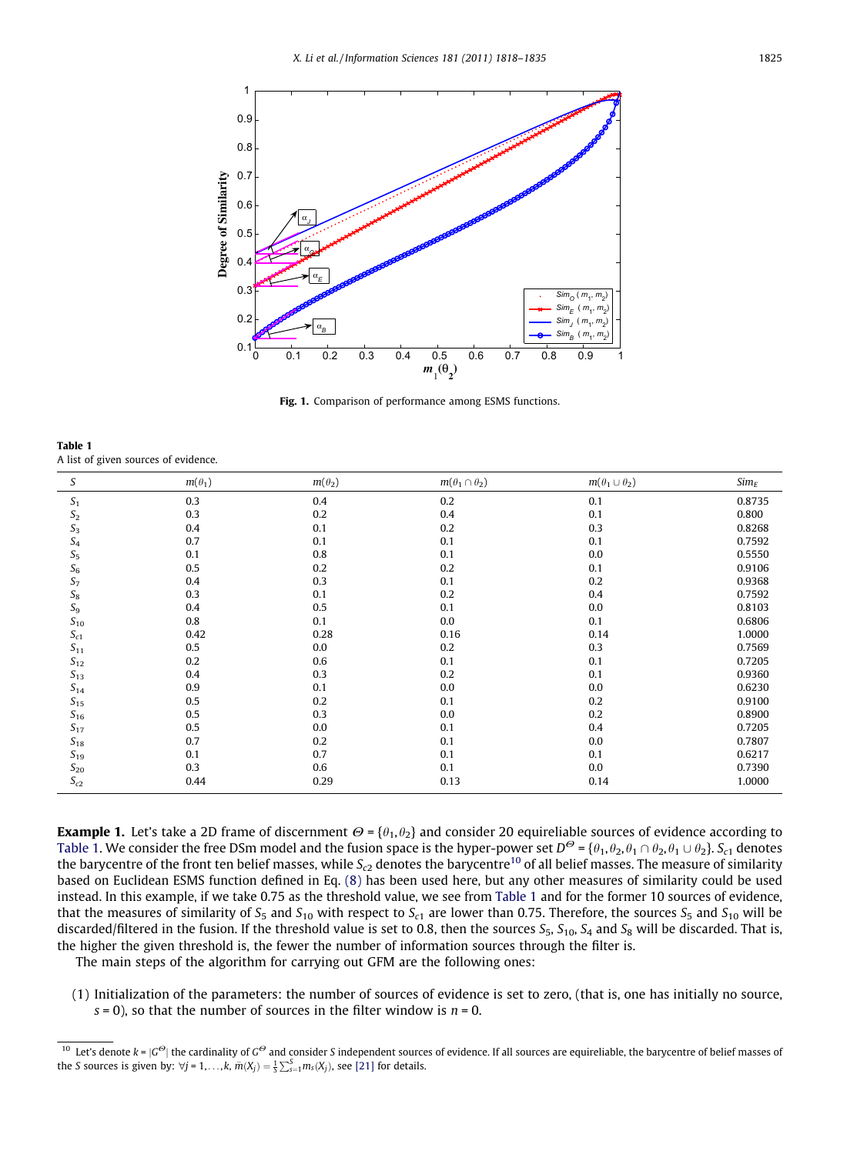<span id="page-7-0"></span>

Fig. 1. Comparison of performance among ESMS functions.

Table 1 A list of given sources of evidence.

| S                   | $m(\theta_1)$ | $m(\theta_2)$ | $m(\theta_1 \cap \theta_2)$ | $m(\theta_1 \cup \theta_2)$ | $Sim_E$ |
|---------------------|---------------|---------------|-----------------------------|-----------------------------|---------|
| S <sub>1</sub>      | 0.3           | 0.4           | 0.2                         | 0.1                         | 0.8735  |
| $\mathfrak{S}_2$    | 0.3           | 0.2           | 0.4                         | 0.1                         | 0.800   |
| $\mathfrak{S}_3$    | 0.4           | 0.1           | 0.2                         | 0.3                         | 0.8268  |
| $S_4$               | 0.7           | 0.1           | 0.1                         | 0.1                         | 0.7592  |
| $S_5$               | 0.1           | 0.8           | 0.1                         | 0.0                         | 0.5550  |
| ${\cal S}_6$        | 0.5           | 0.2           | 0.2                         | 0.1                         | 0.9106  |
| $S_7$               | 0.4           | 0.3           | 0.1                         | 0.2                         | 0.9368  |
| $\mathcal{S}_8$     | 0.3           | 0.1           | 0.2                         | 0.4                         | 0.7592  |
| $S_9$               | 0.4           | 0.5           | 0.1                         | $0.0\,$                     | 0.8103  |
| $S_{10}$            | 0.8           | 0.1           | 0.0                         | 0.1                         | 0.6806  |
| $S_{c1}$            | 0.42          | 0.28          | 0.16                        | 0.14                        | 1.0000  |
| $S_{11}$            | 0.5           | 0.0           | 0.2                         | 0.3                         | 0.7569  |
| $\sqrt{S_{12}}$     | 0.2           | 0.6           | 0.1                         | 0.1                         | 0.7205  |
| $S_{13}$            | 0.4           | 0.3           | 0.2                         | 0.1                         | 0.9360  |
| $S_{14}$            | 0.9           | 0.1           | 0.0                         | 0.0                         | 0.6230  |
| $S_{15}$            | 0.5           | 0.2           | 0.1                         | 0.2                         | 0.9100  |
| $\mathfrak{S}_{16}$ | 0.5           | 0.3           | 0.0                         | 0.2                         | 0.8900  |
| $S_{17}$            | 0.5           | 0.0           | 0.1                         | 0.4                         | 0.7205  |
| $S_{18}$            | 0.7           | 0.2           | 0.1                         | 0.0                         | 0.7807  |
| $S_{19}$            | 0.1           | 0.7           | 0.1                         | 0.1                         | 0.6217  |
| $S_{20}$            | 0.3           | 0.6           | 0.1                         | 0.0                         | 0.7390  |
| $S_{c2}$            | 0.44          | 0.29          | 0.13                        | 0.14                        | 1.0000  |

**Example 1.** Let's take a 2D frame of discernment  $\Theta = {\theta_1, \theta_2}$  and consider 20 equireliable sources of evidence according to Table 1. We consider the free DSm model and the fusion space is the hyper-power set  $D^{\Theta} = {\theta_1, \theta_2, \theta_1 \cap \theta_2, \theta_1 \cup \theta_2}$ . S<sub>c1</sub> denotes the barycentre of the front ten belief masses, while  $S_{c2}$  denotes the barycentre<sup>10</sup> of all belief masses. The measure of similarity based on Euclidean ESMS function defined in Eq. [\(8\)](#page-4-0) has been used here, but any other measures of similarity could be used instead. In this example, if we take 0.75 as the threshold value, we see from Table 1 and for the former 10 sources of evidence, that the measures of similarity of  $S_5$  and  $S_{10}$  with respect to  $S_{c1}$  are lower than 0.75. Therefore, the sources  $S_5$  and  $S_{10}$  will be discarded/filtered in the fusion. If the threshold value is set to 0.8, then the sources  $S_5$ ,  $S_{10}$ ,  $S_4$  and  $S_8$  will be discarded. That is, the higher the given threshold is, the fewer the number of information sources through the filter is.

The main steps of the algorithm for carrying out GFM are the following ones:

(1) Initialization of the parameters: the number of sources of evidence is set to zero, (that is, one has initially no source,  $s = 0$ ), so that the number of sources in the filter window is  $n = 0$ .

<sup>&</sup>lt;sup>10</sup> Let's denote  $k = |G^{\Theta}|$  the cardinality of  $G^{\Theta}$  and consider S independent sources of evidence. If all sources are equireliable, the barycentre of belief masses of the S sources is given by:  $\forall j = 1, ..., k$ ,  $\bar{m}(X_j) = \frac{1}{5} \sum_{s=1}^{5} m_s(X_j)$ , see [\[21\]](#page-16-0) for details.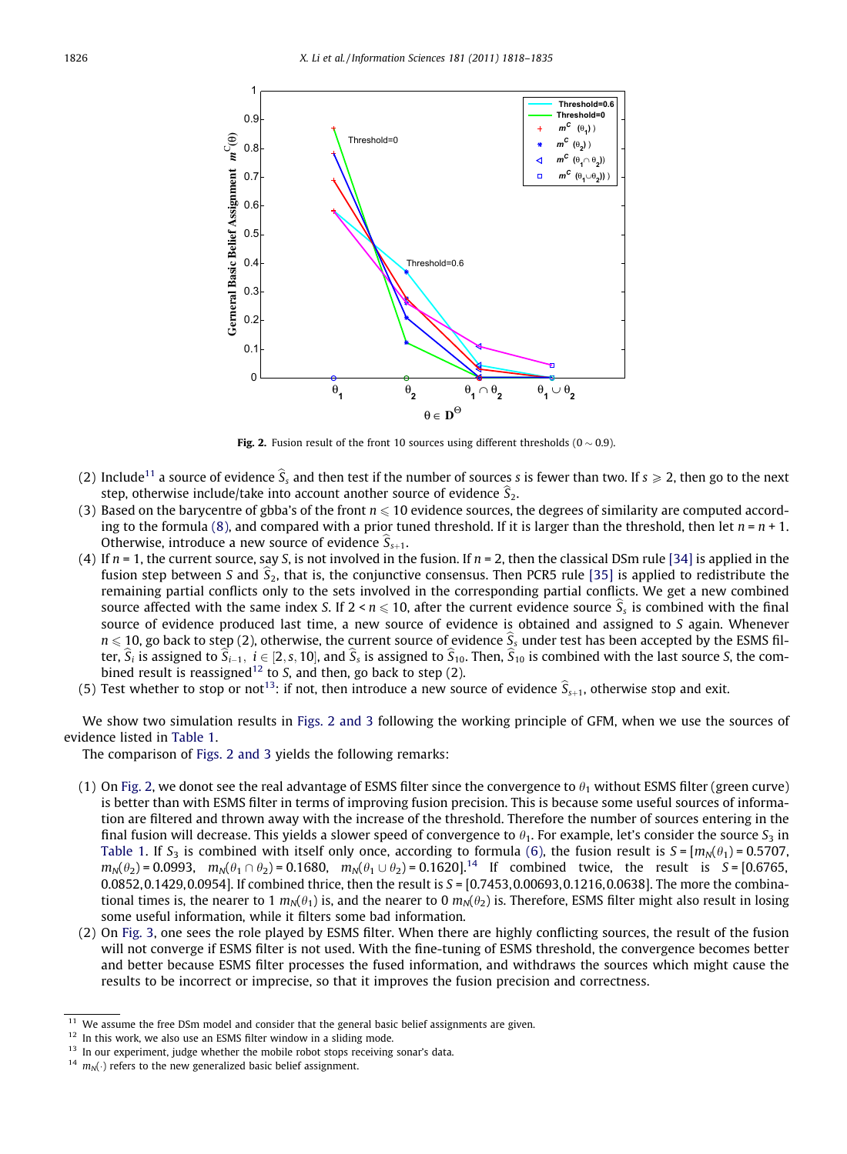

Fig. 2. Fusion result of the front 10 sources using different thresholds  $(0 \sim 0.9)$ .

- (2) Include<sup>11</sup> a source of evidence  $\hat{S}_s$  and then test if the number of sources s is fewer than two. If  $s \ge 2$ , then go to the next step, otherwise include/take into account another source of evidence  $\widehat{S}_2$ .
- (3) Based on the barycentre of gbba's of the front  $n \leq 10$  evidence sources, the degrees of similarity are computed accord-ing to the formula [\(8\),](#page-4-0) and compared with a prior tuned threshold. If it is larger than the threshold, then let  $n = n + 1$ . Otherwise, introduce a new source of evidence  $\hat{S}_{s+1}$ .
- (4) If  $n = 1$ , the current source, say S, is not involved in the fusion. If  $n = 2$ , then the classical DSm rule [\[34\]](#page-17-0) is applied in the fusion step between S and  $\hat{S}_2$ , that is, the conjunctive consensus. Then PCR5 rule [\[35\]](#page-17-0) is applied to redistribute the remaining partial conflicts only to the sets involved in the corresponding partial conflicts. We get a new combined source affected with the same index S. If  $2 < n \le 10$ , after the current evidence source  $\hat{S}_s$  is combined with the final source of evidence produced last time, a new source of evidence is obtained and assigned to S again. Whenever  $n \le 10$ , go back to step (2), otherwise, the current source of evidence  $S_s$  under test has been accepted by the ESMS filter,  $S_i$  is assigned to  $S_{i-1}$ ,  $i \in [2, s, 10]$ , and  $S_s$  is assigned to  $S_{10}$ . Then,  $S_{10}$  is combined with the last source S, the combined result is reassigned<sup>12</sup> to S, and then, go back to step  $(2)$ .
- (5) Test whether to stop or not<sup>13</sup>: if not, then introduce a new source of evidence  $\hat{S}_{s+1}$ , otherwise stop and exit.

We show two simulation results in Figs. 2 and 3 following the working principle of GFM, when we use the sources of evidence listed in [Table 1](#page-7-0).

The comparison of Figs. 2 and 3 yields the following remarks:

- (1) On Fig. 2, we donot see the real advantage of ESMS filter since the convergence to  $\theta_1$  without ESMS filter (green curve) is better than with ESMS filter in terms of improving fusion precision. This is because some useful sources of information are filtered and thrown away with the increase of the threshold. Therefore the number of sources entering in the final fusion will decrease. This yields a slower speed of convergence to  $\theta_1$ . For example, let's consider the source  $S_3$  in [Table 1](#page-7-0). If  $S_3$  is combined with itself only once, according to formula [\(6\)](#page-3-0), the fusion result is  $S = [m_N(\theta_1) = 0.5707,$  $m_N(\theta_2) = 0.0993$ ,  $m_N(\theta_1 \cap \theta_2) = 0.1680$ ,  $m_N(\theta_1 \cup \theta_2) = 0.1620$ .<sup>14</sup> If combined twice, the result is S = [0.6765, 0.0852,0.1429,0.0954]. If combined thrice, then the result is  $S = [0.7453, 0.00693, 0.1216, 0.0638]$ . The more the combinational times is, the nearer to 1  $m_N(\theta_1)$  is, and the nearer to 0  $m_N(\theta_2)$  is. Therefore, ESMS filter might also result in losing some useful information, while it filters some bad information.
- (2) On [Fig. 3,](#page-9-0) one sees the role played by ESMS filter. When there are highly conflicting sources, the result of the fusion will not converge if ESMS filter is not used. With the fine-tuning of ESMS threshold, the convergence becomes better and better because ESMS filter processes the fused information, and withdraws the sources which might cause the results to be incorrect or imprecise, so that it improves the fusion precision and correctness.

<sup>&</sup>lt;sup>11</sup> We assume the free DSm model and consider that the general basic belief assignments are given.

 $12$  In this work, we also use an ESMS filter window in a sliding mode.

<sup>&</sup>lt;sup>13</sup> In our experiment, judge whether the mobile robot stops receiving sonar's data.

<sup>&</sup>lt;sup>14</sup>  $m_N(\cdot)$  refers to the new generalized basic belief assignment.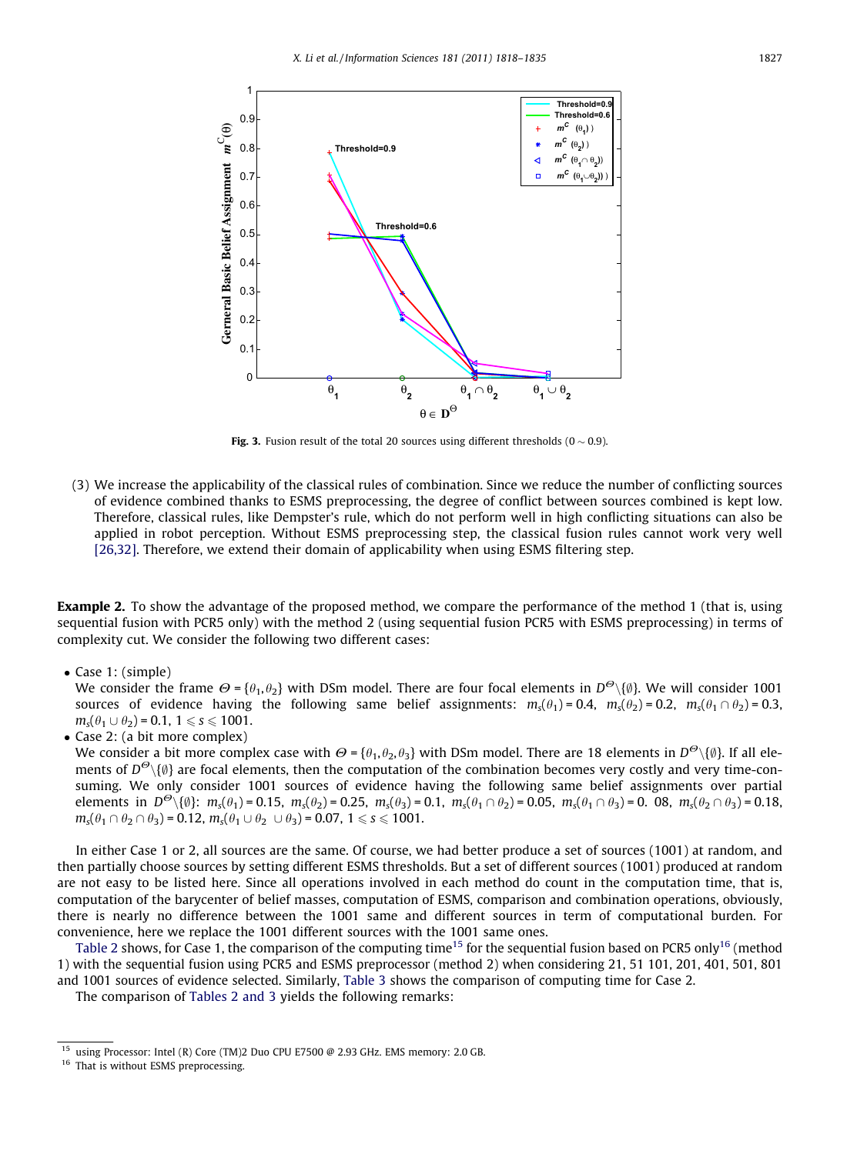<span id="page-9-0"></span>

Fig. 3. Fusion result of the total 20 sources using different thresholds ( $0 \sim 0.9$ ).

(3) We increase the applicability of the classical rules of combination. Since we reduce the number of conflicting sources of evidence combined thanks to ESMS preprocessing, the degree of conflict between sources combined is kept low. Therefore, classical rules, like Dempster's rule, which do not perform well in high conflicting situations can also be applied in robot perception. Without ESMS preprocessing step, the classical fusion rules cannot work very well [\[26,32\].](#page-16-0) Therefore, we extend their domain of applicability when using ESMS filtering step.

**Example 2.** To show the advantage of the proposed method, we compare the performance of the method 1 (that is, using sequential fusion with PCR5 only) with the method 2 (using sequential fusion PCR5 with ESMS preprocessing) in terms of complexity cut. We consider the following two different cases:

• Case 1: (simple)

We consider the frame  $\Theta = \{\theta_1, \theta_2\}$  with DSm model. There are four focal elements in  $D^{\Theta}\setminus\{\emptyset\}$ . We will consider 1001 sources of evidence having the following same belief assignments:  $m_s(\theta_1) = 0.4$ ,  $m_s(\theta_2) = 0.2$ ,  $m_s(\theta_1 \cap \theta_2) = 0.3$ ,  $m_s(\theta_1 \cup \theta_2) = 0.1, 1 \le s \le 1001.$ 

• Case 2: (a bit more complex)

We consider a bit more complex case with  $\Theta = {\theta_1, \theta_2, \theta_3}$  with DSm model. There are 18 elements in  $D^{\Theta}\setminus{\{\emptyset\}}$ . If all elements of  $D^{\Theta}\setminus\{\emptyset\}$  are focal elements, then the computation of the combination becomes very costly and very time-consuming. We only consider 1001 sources of evidence having the following same belief assignments over partial elements in  $D^{\Theta}\setminus\{\emptyset\}$ :  $m_s(\theta_1) = 0.15$ ,  $m_s(\theta_2) = 0.25$ ,  $m_s(\theta_3) = 0.1$ ,  $m_s(\theta_1 \cap \theta_2) = 0.05$ ,  $m_s(\theta_1 \cap \theta_3) = 0$ . 08,  $m_s(\theta_2 \cap \theta_3) = 0.18$ ,  $m_s(\theta_1 \cap \theta_2 \cap \theta_3) = 0.12$ ,  $m_s(\theta_1 \cup \theta_2 \cup \theta_3) = 0.07$ ,  $1 \le s \le 1001$ .

In either Case 1 or 2, all sources are the same. Of course, we had better produce a set of sources (1001) at random, and then partially choose sources by setting different ESMS thresholds. But a set of different sources (1001) produced at random are not easy to be listed here. Since all operations involved in each method do count in the computation time, that is, computation of the barycenter of belief masses, computation of ESMS, comparison and combination operations, obviously, there is nearly no difference between the 1001 same and different sources in term of computational burden. For convenience, here we replace the 1001 different sources with the 1001 same ones.

[Table 2](#page-10-0) shows, for Case 1, the comparison of the computing time<sup>15</sup> for the sequential fusion based on PCR5 only<sup>16</sup> (method 1) with the sequential fusion using PCR5 and ESMS preprocessor (method 2) when considering 21, 51 101, 201, 401, 501, 801 and 1001 sources of evidence selected. Similarly, [Table 3](#page-10-0) shows the comparison of computing time for Case 2.

The comparison of [Tables 2 and 3](#page-10-0) yields the following remarks:

<sup>&</sup>lt;sup>15</sup> using Processor: Intel (R) Core (TM)2 Duo CPU E7500 @ 2.93 GHz. EMS memory: 2.0 GB.

<sup>&</sup>lt;sup>16</sup> That is without ESMS preprocessing.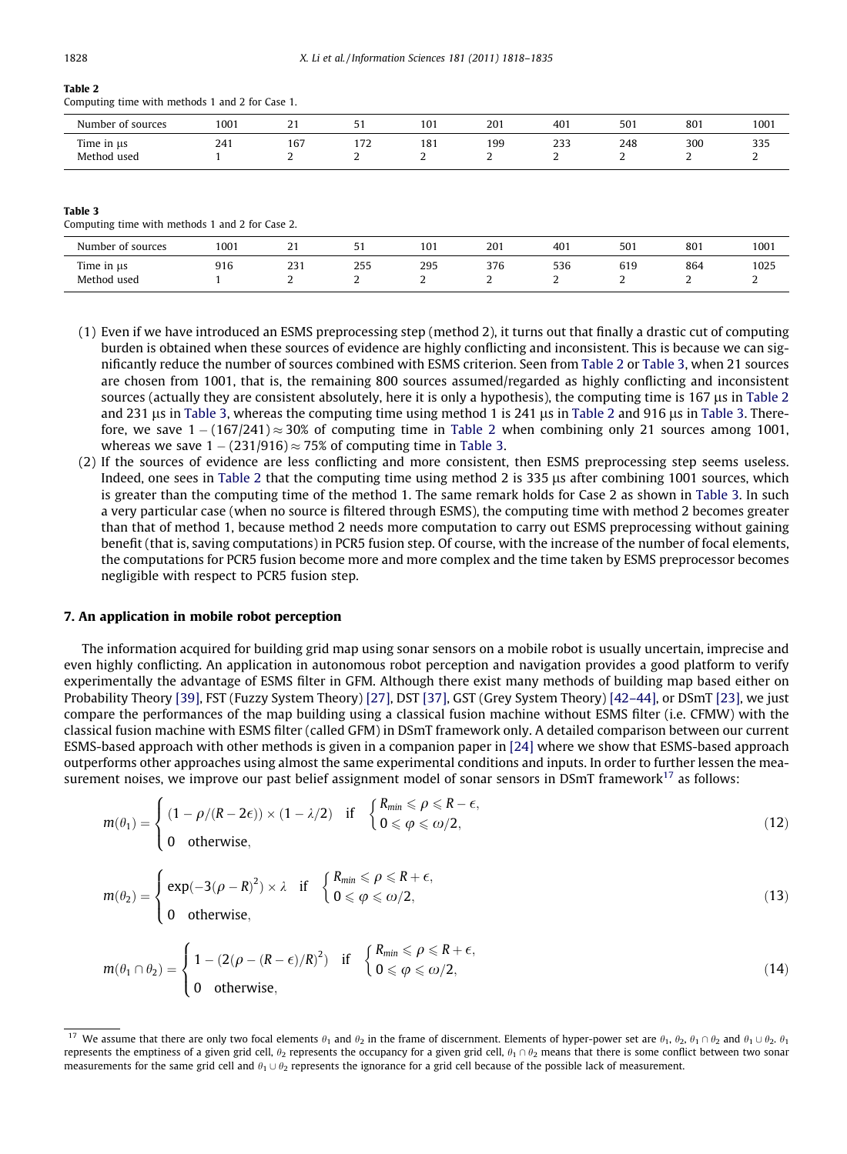# <span id="page-10-0"></span>Table 2

Computing time with methods 1 and 2 for Case 1.

| Number<br>of sources <sup>.</sup>              | 1001 | <b>.</b><br>. . | ັ                | 101<br>1 U J                                    | $20^{\circ}$         | 401<br>the contract of the contract of | 501 | 801<br>____   | 1001       |
|------------------------------------------------|------|-----------------|------------------|-------------------------------------------------|----------------------|----------------------------------------|-----|---------------|------------|
| <b>CONTRACTOR</b><br>Time in us<br>Method used | 241  | 167             | $-1$<br>112<br>- | 101<br>1 8 I<br>the contract of the contract of | 199<br>$\sim$ $\sim$ | ววว<br>دد∠<br>-                        | 248 | 300<br>.<br>- | つつに<br>ررر |

#### Table 3

Computing time with methods 1 and 2 for Case 2.

| Number of sources              | 1001 |     | 51       | 101 | 201     | 401 | 501      | 801      | 1001 |
|--------------------------------|------|-----|----------|-----|---------|-----|----------|----------|------|
| Time in $\mu$ s<br>Method used | 916  | 231 | 255<br>∽ | 295 | 376<br> | 536 | 619<br>∸ | 864<br>∼ | 1025 |

- (1) Even if we have introduced an ESMS preprocessing step (method 2), it turns out that finally a drastic cut of computing burden is obtained when these sources of evidence are highly conflicting and inconsistent. This is because we can significantly reduce the number of sources combined with ESMS criterion. Seen from Table 2 or Table 3, when 21 sources are chosen from 1001, that is, the remaining 800 sources assumed/regarded as highly conflicting and inconsistent sources (actually they are consistent absolutely, here it is only a hypothesis), the computing time is 167 us in Table 2 and 231 us in Table 3, whereas the computing time using method 1 is 241 us in Table 2 and 916 us in Table 3. Therefore, we save  $1 - (167/241) \approx 30\%$  of computing time in Table 2 when combining only 21 sources among 1001, whereas we save  $1 - (231/916) \approx 75\%$  of computing time in Table 3.
- (2) If the sources of evidence are less conflicting and more consistent, then ESMS preprocessing step seems useless. Indeed, one sees in Table 2 that the computing time using method 2 is 335 µs after combining 1001 sources, which is greater than the computing time of the method 1. The same remark holds for Case 2 as shown in Table 3. In such a very particular case (when no source is filtered through ESMS), the computing time with method 2 becomes greater than that of method 1, because method 2 needs more computation to carry out ESMS preprocessing without gaining benefit (that is, saving computations) in PCR5 fusion step. Of course, with the increase of the number of focal elements, the computations for PCR5 fusion become more and more complex and the time taken by ESMS preprocessor becomes negligible with respect to PCR5 fusion step.

#### 7. An application in mobile robot perception

The information acquired for building grid map using sonar sensors on a mobile robot is usually uncertain, imprecise and even highly conflicting. An application in autonomous robot perception and navigation provides a good platform to verify experimentally the advantage of ESMS filter in GFM. Although there exist many methods of building map based either on Probability Theory [\[39\]](#page-17-0), FST (Fuzzy System Theory) [\[27\],](#page-16-0) DST [\[37\]](#page-17-0), GST (Grey System Theory) [\[42–44\],](#page-17-0) or DSmT [\[23\],](#page-16-0) we just compare the performances of the map building using a classical fusion machine without ESMS filter (i.e. CFMW) with the classical fusion machine with ESMS filter (called GFM) in DSmT framework only. A detailed comparison between our current ESMS-based approach with other methods is given in a companion paper in [\[24\]](#page-16-0) where we show that ESMS-based approach outperforms other approaches using almost the same experimental conditions and inputs. In order to further lessen the measurement noises, we improve our past belief assignment model of sonar sensors in DSmT framework<sup>17</sup> as follows:

$$
m(\theta_1) = \begin{cases} (1 - \rho/(R - 2\epsilon)) \times (1 - \lambda/2) & \text{if } \begin{cases} R_{\min} \le \rho \le R - \epsilon, \\ 0 \le \varphi \le \omega/2, \end{cases} \\ 0 & \text{otherwise,} \end{cases}
$$
(12)

$$
m(\theta_2) = \begin{cases} \exp(-3(\rho - R)^2) \times \lambda & \text{if } \begin{cases} R_{min} \leq \rho \leq R + \epsilon, \\ 0 \leq \rho \leq \omega/2, \end{cases} \\ 0 & \text{otherwise,} \end{cases}
$$
(13)

$$
m(\theta_1 \cap \theta_2) = \begin{cases} 1 - (2(\rho - (R - \epsilon)/R)^2) & \text{if } \begin{cases} R_{\min} \leq \rho \leq R + \epsilon, \\ 0 \leq \rho \leq \omega/2, \end{cases} \\ 0 & \text{otherwise,} \end{cases}
$$
(14)

<sup>&</sup>lt;sup>17</sup> We assume that there are only two focal elements  $\theta_1$  and  $\theta_2$  in the frame of discernment. Elements of hyper-power set are  $\theta_1$ ,  $\theta_2$ ,  $\theta_1 \cap \theta_2$  and  $\theta_1 \cup \theta_2$ ,  $\theta_1$ represents the emptiness of a given grid cell,  $\theta_2$  represents the occupancy for a given grid cell,  $\theta_1 \cap \theta_2$  means that there is some conflict between two sonar measurements for the same grid cell and  $\theta_1 \cup \theta_2$  represents the ignorance for a grid cell because of the possible lack of measurement.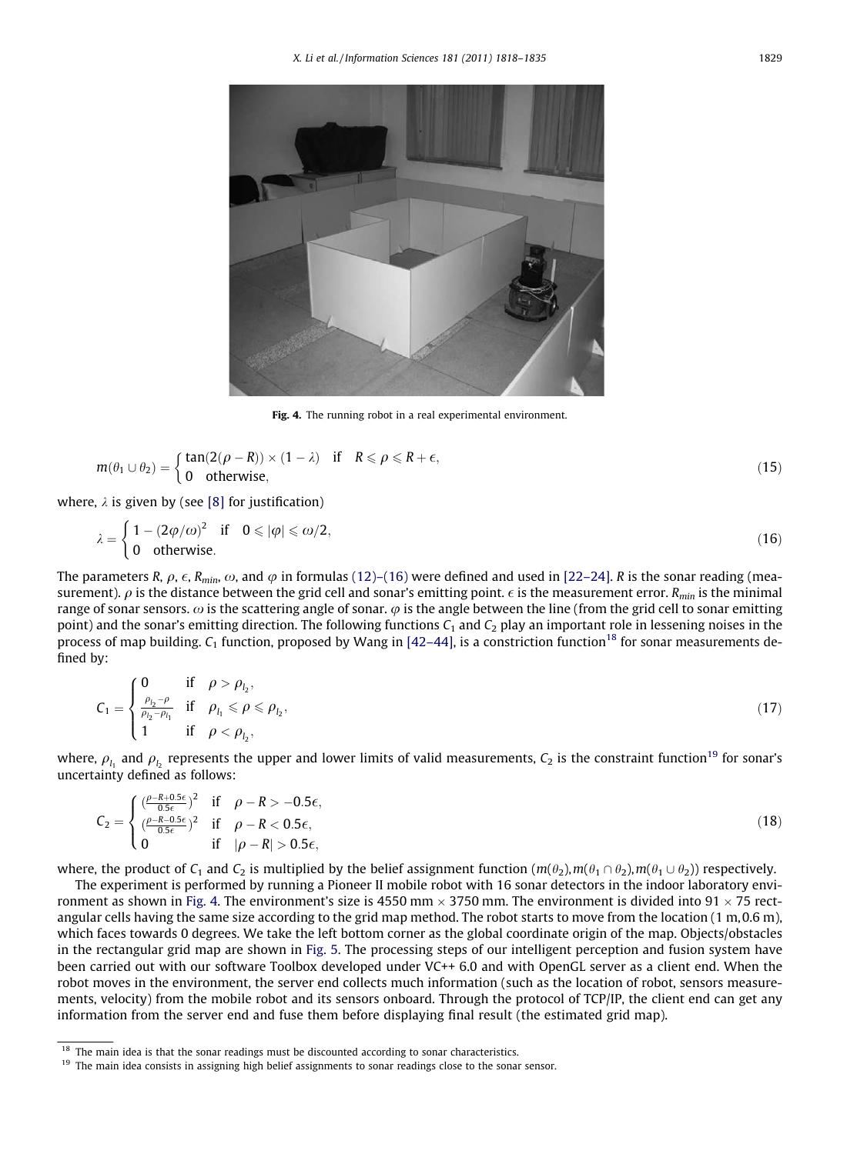

Fig. 4. The running robot in a real experimental environment.

$$
m(\theta_1 \cup \theta_2) = \begin{cases} \tan(2(\rho - R)) \times (1 - \lambda) & \text{if } R \le \rho \le R + \epsilon, \\ 0 & \text{otherwise,} \end{cases}
$$
(15)

where,  $\lambda$  is given by (see [\[8\]](#page-16-0) for justification)

$$
\lambda = \begin{cases} 1 - (2\varphi/\omega)^2 & \text{if } 0 \leqslant |\varphi| \leqslant \omega/2, \\ 0 & \text{otherwise.} \end{cases}
$$
 (16)

The parameters R,  $\rho$ ,  $\epsilon$ ,  $R_{min}$ ,  $\omega$ , and  $\varphi$  in formulas [\(12\)–\(16\)](#page-10-0) were defined and used in [\[22–24\]](#page-16-0). R is the sonar reading (measurement).  $\rho$  is the distance between the grid cell and sonar's emitting point.  $\epsilon$  is the measurement error. R<sub>min</sub> is the minimal range of sonar sensors.  $\omega$  is the scattering angle of sonar.  $\varphi$  is the angle between the line (from the grid cell to sonar emitting point) and the sonar's emitting direction. The following functions  $C_1$  and  $C_2$  play an important role in lessening noises in the process of map building.  $C_1$  function, proposed by Wang in [\[42–44\]](#page-17-0), is a constriction function<sup>18</sup> for sonar measurements defined by:

$$
C_1 = \begin{cases} 0 & \text{if } \rho > \rho_{l_2}, \\ \frac{\rho_{l_2} - \rho}{\rho_{l_2} - \rho_{l_1}} & \text{if } \rho_{l_1} \leqslant \rho \leqslant \rho_{l_2}, \\ 1 & \text{if } \rho < \rho_{l_2}, \end{cases} \tag{17}
$$

where,  $\rho_{l_1}$  and  $\rho_{l_2}$  represents the upper and lower limits of valid measurements,  $C_2$  is the constraint function<sup>19</sup> for sonar's uncertainty defined as follows:

$$
C_2 = \begin{cases} \frac{(\rho - R + 0.5\epsilon)}{0.5\epsilon}^2 & \text{if } \rho - R > -0.5\epsilon, \\ \frac{(\rho - R - 0.5\epsilon)}{0.5\epsilon}^2 & \text{if } \rho - R < 0.5\epsilon, \\ 0 & \text{if } |\rho - R| > 0.5\epsilon, \end{cases}
$$
(18)

where, the product of  $C_1$  and  $C_2$  is multiplied by the belief assignment function  $(m(\theta_2),m(\theta_1 \cap \theta_2),m(\theta_1 \cup \theta_2))$  respectively.

The experiment is performed by running a Pioneer II mobile robot with 16 sonar detectors in the indoor laboratory environment as shown in Fig. 4. The environment's size is 4550 mm  $\times$  3750 mm. The environment is divided into 91  $\times$  75 rectangular cells having the same size according to the grid map method. The robot starts to move from the location (1 m, 0.6 m), which faces towards 0 degrees. We take the left bottom corner as the global coordinate origin of the map. Objects/obstacles in the rectangular grid map are shown in [Fig. 5](#page-12-0). The processing steps of our intelligent perception and fusion system have been carried out with our software Toolbox developed under VC++ 6.0 and with OpenGL server as a client end. When the robot moves in the environment, the server end collects much information (such as the location of robot, sensors measurements, velocity) from the mobile robot and its sensors onboard. Through the protocol of TCP/IP, the client end can get any information from the server end and fuse them before displaying final result (the estimated grid map).

 $18$  The main idea is that the sonar readings must be discounted according to sonar characteristics.

<sup>&</sup>lt;sup>19</sup> The main idea consists in assigning high belief assignments to sonar readings close to the sonar sensor.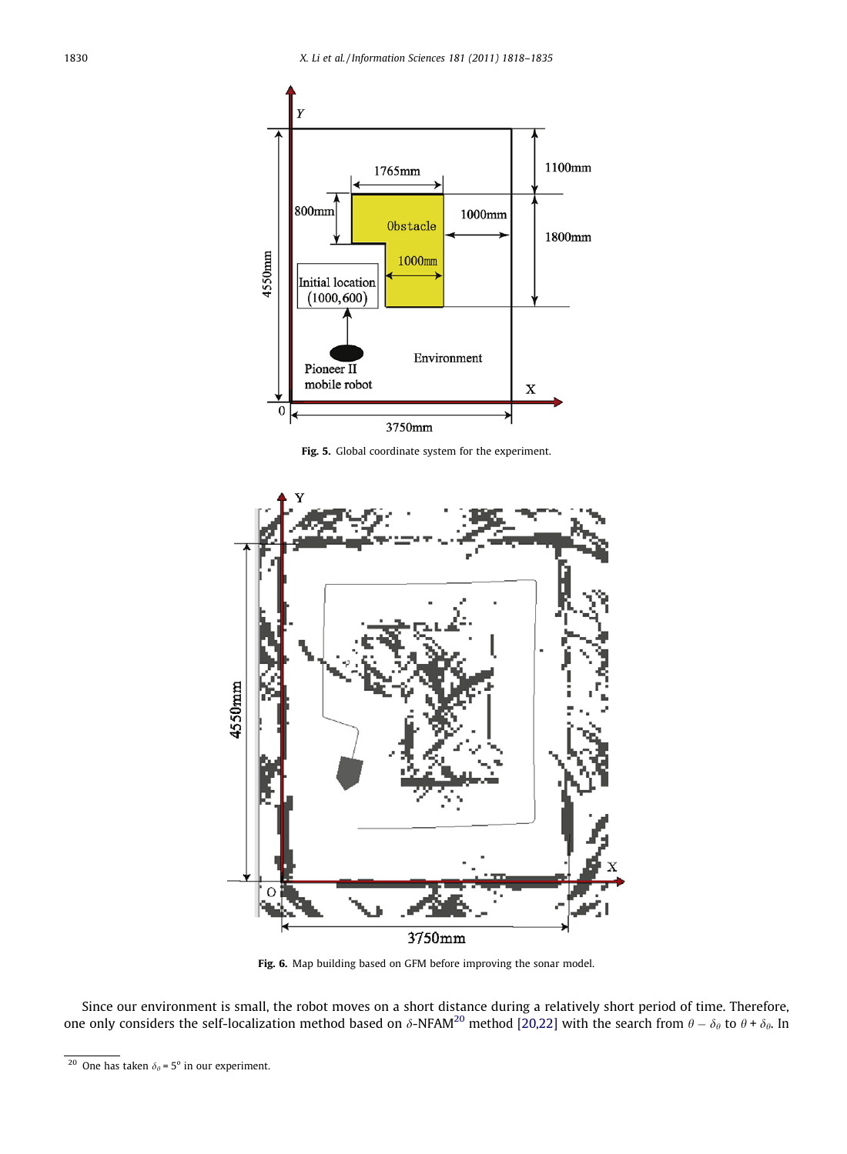<span id="page-12-0"></span>

Fig. 5. Global coordinate system for the experiment.



Fig. 6. Map building based on GFM before improving the sonar model.

Since our environment is small, the robot moves on a short distance during a relatively short period of time. Therefore, one only considers the self-localization method based on  $\delta$ -NFAM<sup>20</sup> method [\[20,22\]](#page-16-0) with the search from  $\theta-\delta_\theta$  to  $\theta$  +  $\delta_\theta$ . In

<sup>&</sup>lt;sup>20</sup> One has taken  $\delta_{\theta}$  = 5<sup>o</sup> in our experiment.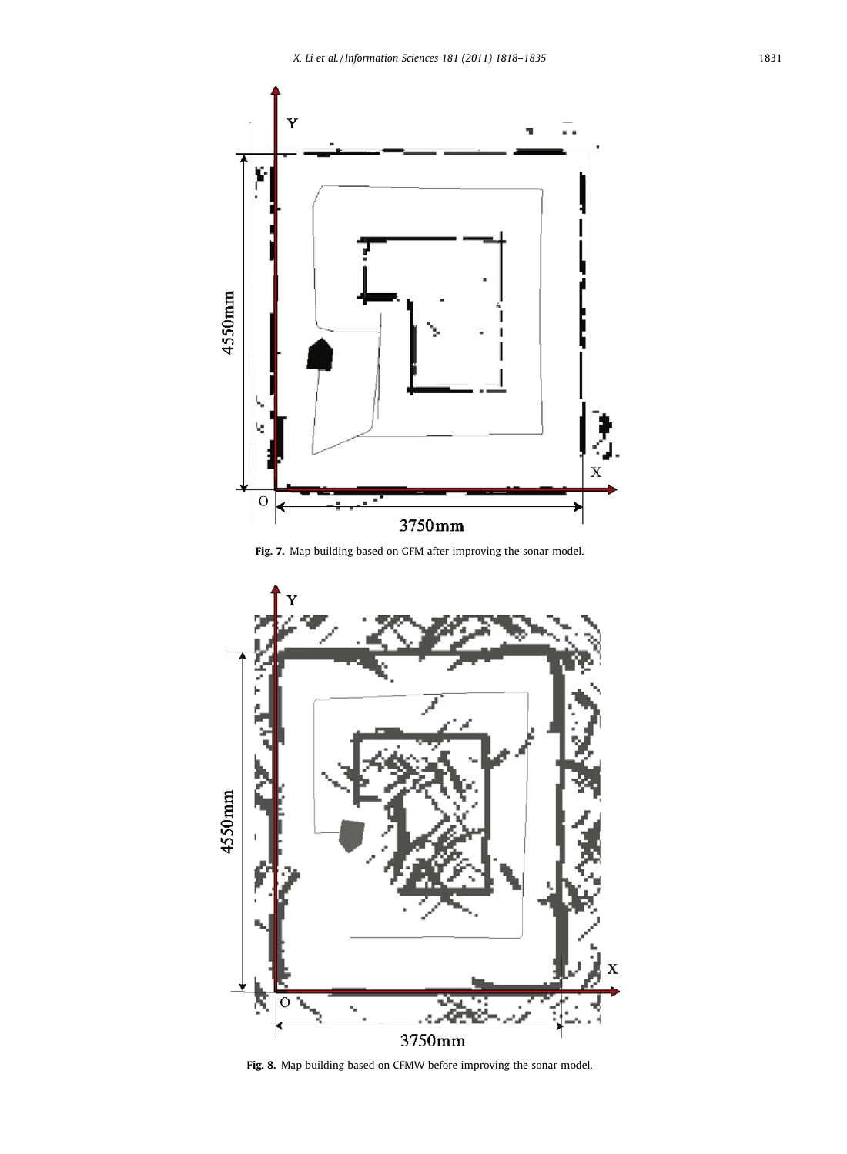<span id="page-13-0"></span>

Fig. 7. Map building based on GFM after improving the sonar model.



Fig. 8. Map building based on CFMW before improving the sonar model.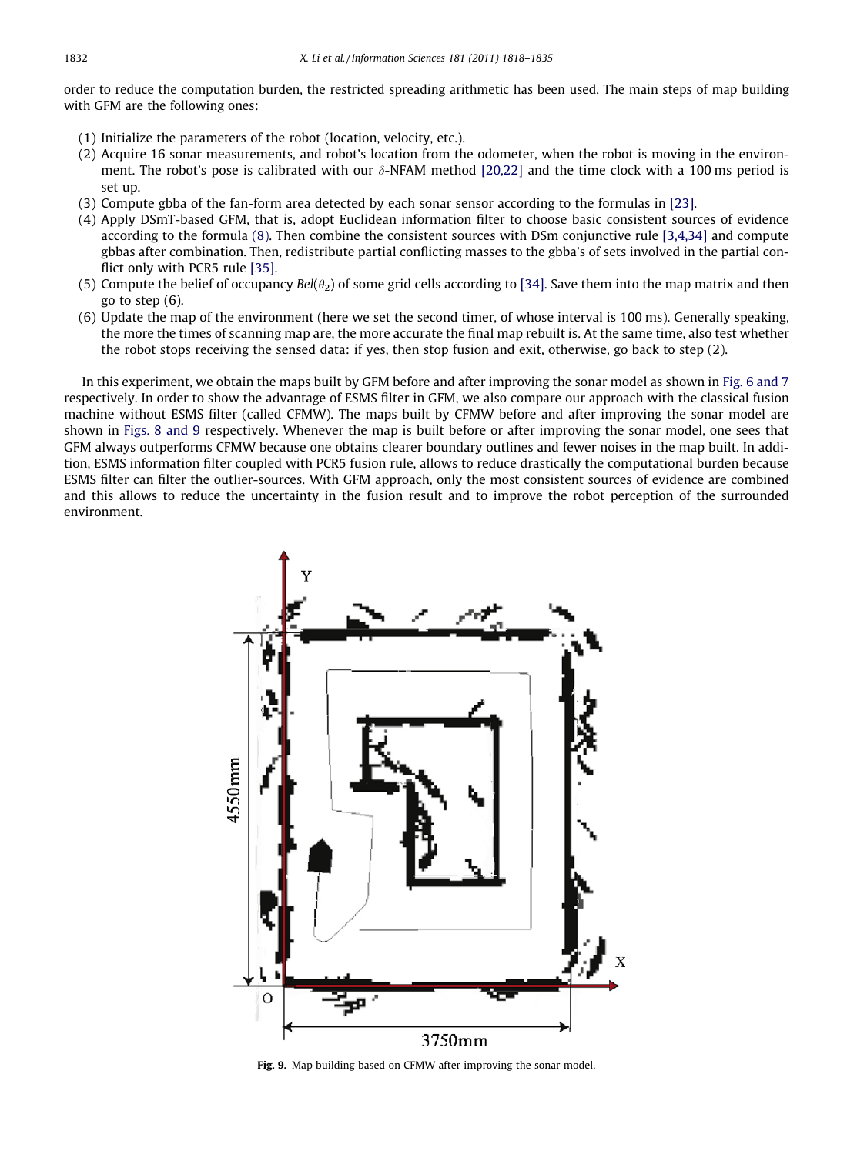order to reduce the computation burden, the restricted spreading arithmetic has been used. The main steps of map building with GFM are the following ones:

- (1) Initialize the parameters of the robot (location, velocity, etc.).
- (2) Acquire 16 sonar measurements, and robot's location from the odometer, when the robot is moving in the environment. The robot's pose is calibrated with our  $\delta$ -NFAM method [\[20,22\]](#page-16-0) and the time clock with a 100 ms period is set up.
- (3) Compute gbba of the fan-form area detected by each sonar sensor according to the formulas in [\[23\]](#page-16-0).
- (4) Apply DSmT-based GFM, that is, adopt Euclidean information filter to choose basic consistent sources of evidence according to the formula [\(8\)](#page-4-0). Then combine the consistent sources with DSm conjunctive rule [\[3,4,34\]](#page-16-0) and compute gbbas after combination. Then, redistribute partial conflicting masses to the gbba's of sets involved in the partial conflict only with PCR5 rule [\[35\].](#page-17-0)
- (5) Compute the belief of occupancy Bel( $\theta_2$ ) of some grid cells according to [\[34\]](#page-17-0). Save them into the map matrix and then go to step (6).
- (6) Update the map of the environment (here we set the second timer, of whose interval is 100 ms). Generally speaking, the more the times of scanning map are, the more accurate the final map rebuilt is. At the same time, also test whether the robot stops receiving the sensed data: if yes, then stop fusion and exit, otherwise, go back to step (2).

In this experiment, we obtain the maps built by GFM before and after improving the sonar model as shown in [Fig. 6 and 7](#page-12-0) respectively. In order to show the advantage of ESMS filter in GFM, we also compare our approach with the classical fusion machine without ESMS filter (called CFMW). The maps built by CFMW before and after improving the sonar model are shown in [Figs. 8 and 9](#page-13-0) respectively. Whenever the map is built before or after improving the sonar model, one sees that GFM always outperforms CFMW because one obtains clearer boundary outlines and fewer noises in the map built. In addition, ESMS information filter coupled with PCR5 fusion rule, allows to reduce drastically the computational burden because ESMS filter can filter the outlier-sources. With GFM approach, only the most consistent sources of evidence are combined and this allows to reduce the uncertainty in the fusion result and to improve the robot perception of the surrounded environment.



Fig. 9. Map building based on CFMW after improving the sonar model.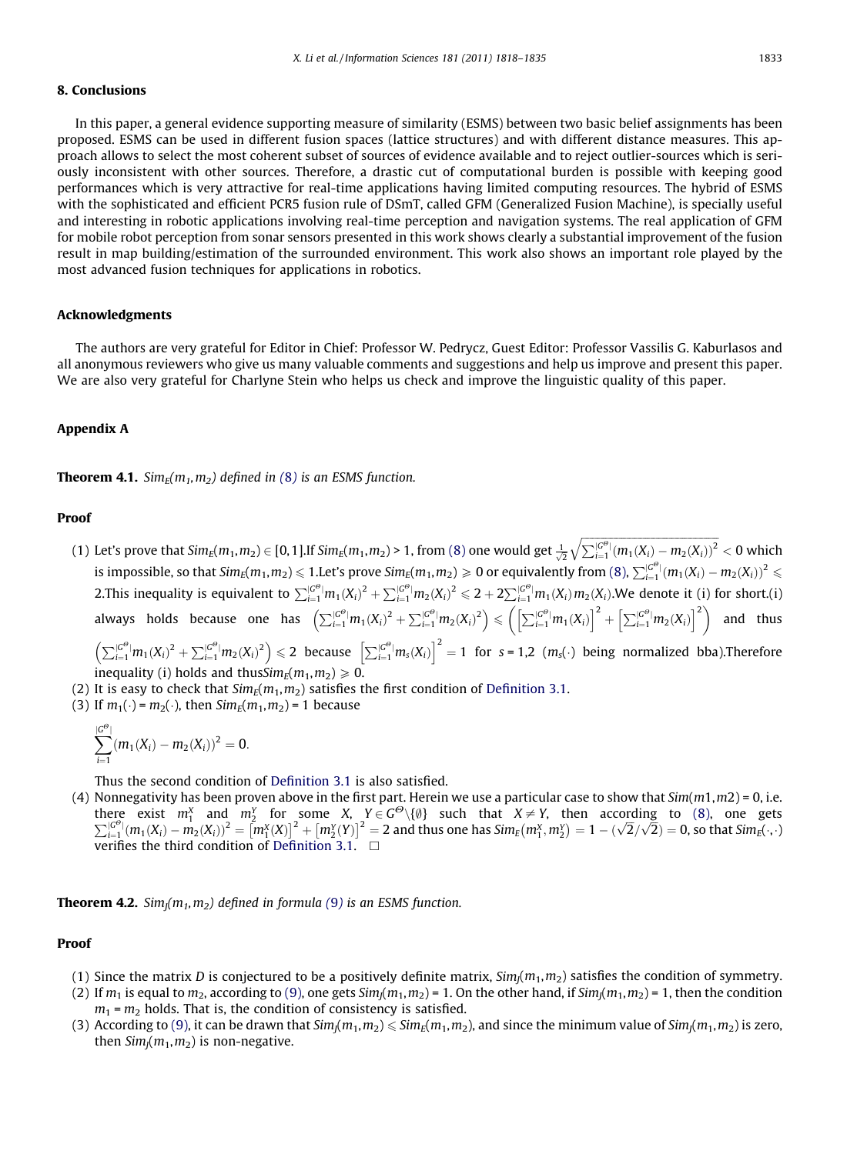# 8. Conclusions

In this paper, a general evidence supporting measure of similarity (ESMS) between two basic belief assignments has been proposed. ESMS can be used in different fusion spaces (lattice structures) and with different distance measures. This approach allows to select the most coherent subset of sources of evidence available and to reject outlier-sources which is seriously inconsistent with other sources. Therefore, a drastic cut of computational burden is possible with keeping good performances which is very attractive for real-time applications having limited computing resources. The hybrid of ESMS with the sophisticated and efficient PCR5 fusion rule of DSmT, called GFM (Generalized Fusion Machine), is specially useful and interesting in robotic applications involving real-time perception and navigation systems. The real application of GFM for mobile robot perception from sonar sensors presented in this work shows clearly a substantial improvement of the fusion result in map building/estimation of the surrounded environment. This work also shows an important role played by the most advanced fusion techniques for applications in robotics.

# Acknowledgments

The authors are very grateful for Editor in Chief: Professor W. Pedrycz, Guest Editor: Professor Vassilis G. Kaburlasos and all anonymous reviewers who give us many valuable comments and suggestions and help us improve and present this paper. We are also very grateful for Charlyne Stein who helps us check and improve the linguistic quality of this paper.

### Appendix A

**Theorem 4.1.** Sim<sub>F</sub>( $m_1, m_2$ ) defined in ([8](#page-4-0)) is an ESMS function.

#### Proof

(1) Let's prove that  $Sim_E(m_1,m_2) \in [0,1]$ .If  $Sim_E(m_1,m_2) > 1$ , from [\(8\)](#page-4-0) one would get  $\frac{1}{\sqrt{2}}\sqrt{\sum_{i=1}^{|G^{\Theta}|}(m_1(X_i)-m_2(X_i))^2}$  $< 0$  which is impossible, so that  $Sim_E(m_1, m_2) \leq 1$ . Let's prove  $Sim_E(m_1, m_2) \geq 0$  or equivalently from [\(8\),](#page-4-0)  $\sum_{i=1}^{|G^{\Theta}|}(m_1(X_i) - m_2(X_i))^2 \leq$ 2. This inequality is equivalent to  $\sum_{i=1}^{|G^\Theta|} m_1(X_i)^2 + \sum_{i=1}^{|G^\Theta|} m_2(X_i)^2 \leqslant 2 + 2\sum_{i=1}^{|G^\Theta|} m_1(X_i) m_2(X_i)$ . We denote it (i) for short.(i) always holds because one has  $\left( \sum_{i=1}^{|G^{\Theta}|} m_1(X_i)^2 + \sum_{i=1}^{|G^{\Theta}|} m_2(X_i)^2 \right) \leq \left( \left[ \sum_{i=1}^{|G^{\Theta}|} m_1(X_i) \right]^2 + \left[ \sum_{i=1}^{|G^{\Theta}|} m_2(X_i) \right]^2 \right)$  and thus  $\left(\sum_{i=1}^{|G^\Theta|} m_1({X_i})^2 + \sum_{i=1}^{|G^\Theta|} m_2({X_i})^2\right) \leq 2$  because  $\left[\sum_{i=1}^{|G^\Theta|} m_3({X_i})\right]^2 = 1$  for s = 1,2 (m<sub>s</sub>(·) being normalized bba). Therefore

inequality (i) holds and thus  $Sim_F(m_1, m_2) \ge 0$ .

- (2) It is easy to check that  $Sim_E(m_1, m_2)$  satisfies the first condition of [Definition 3.1.](#page-4-0)
- (3) If  $m_1(\cdot) = m_2(\cdot)$ , then  $Sim_E(m_1, m_2) = 1$  because

$$
\sum_{i=1}^{|G^{\Theta}|} (m_1(X_i) - m_2(X_i))^2 = 0.
$$

Thus the second condition of [Definition 3.1](#page-4-0) is also satisfied.

(4) Nonnegativity has been proven above in the first part. Herein we use a particular case to show that  $Sim(m1,m2) = 0$ , i.e. there exist  $m_1^X$  and  $m_2^Y$  for some  $X$ ,  $Y \in G^{\Theta}\setminus\{0\}$  such that  $X \neq Y$ , then according to [\(8\)](#page-4-0), one gets  $\sum_{i=1}^{|G^{\Theta}|} (m_1(X_i) - m_2(X_i))^2 = [m_1^X(X)]^2 + [m_2^Y(Y)]^2 = 2$  and thus one has  $Sim_E(m_1^X, m_2^Y) = 1 - (\sqrt{2}/\sqrt{2}) =$ verifies the third condition of [Definition 3.1](#page-4-0).  $\Box$ 

**Theorem 4.2.** Sim<sub>I</sub>( $m_1, m_2$ ) defined in formula ([9](#page-5-0)) is an ESMS function.

#### Proof

- (1) Since the matrix D is conjectured to be a positively definite matrix,  $Sim_l(m_1, m_2)$  satisfies the condition of symmetry.
- (2) If  $m_1$  is equal to  $m_2$ , according to [\(9\),](#page-5-0) one gets  $Sim_l(m_1,m_2) = 1$ . On the other hand, if  $Sim_l(m_1,m_2) = 1$ , then the condition  $m_1$  =  $m_2$  holds. That is, the condition of consistency is satisfied.
- (3) According to [\(9\),](#page-5-0) it can be drawn that  $Sim_l(m_1, m_2) \leq \frac{Sim_l(m_1, m_2)}{sim_l(m_1, m_2)}$  and since the minimum value of  $Sim_l(m_1, m_2)$  is zero, then  $Sim_l(m_1,m_2)$  is non-negative.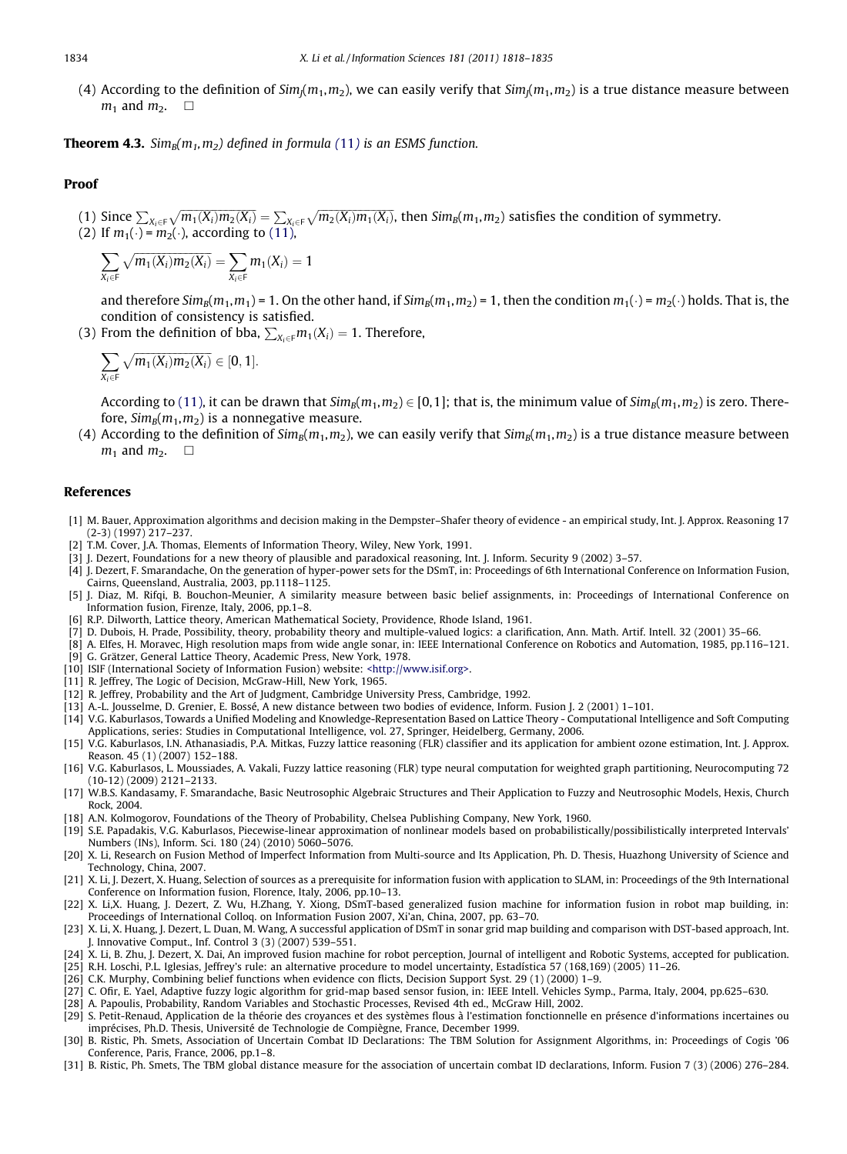<span id="page-16-0"></span>(4) According to the definition of  $Sim_l(m_1, m_2)$ , we can easily verify that  $Sim_l(m_1, m_2)$  is a true distance measure between  $m_1$  and  $m_2$ .  $\Box$ 

**Theorem 4.3.** Sim<sub>B</sub> $(m_1, m_2)$  defined in formula ([11](#page-6-0)) is an ESMS function.

#### Proof

(1) Since  $\sum_{X_i\in \mathsf{F}}\sqrt{m_1(X_i)m_2(X_i)}=\sum_{X_i\in \mathsf{F}}\sqrt{m_2(X_i)m_1(X_i)}$ , then  $\mathsf{Sim}_\mathsf{B}(m_1,m_2)$  satisfies the condition of symmetry. (2) If  $m_1(\cdot)$  =  $m_2(\cdot)$ , according to [\(11\),](#page-6-0)

$$
\sum_{X_i \in F} \sqrt{m_1(X_i) m_2(X_i)} = \sum_{X_i \in F} m_1(X_i) = 1
$$

and therefore Sim<sub>B</sub>(m<sub>1</sub>, m<sub>1</sub>) = 1. On the other hand, if Sim<sub>B</sub>(m<sub>1</sub>, m<sub>2</sub>) = 1, then the condition m<sub>1</sub>(·) = m<sub>2</sub>(·) holds. That is, the condition of consistency is satisfied.

(3) From the definition of bba,  $\sum_{X_i \in F} m_1(X_i) = 1$ . Therefore,

$$
\sum_{X_i\in F}\sqrt{m_1(X_i)m_2(X_i)}\in[0,1].
$$

According to [\(11\)](#page-6-0), it can be drawn that  $Sim_B(m_1, m_2) \in [0,1]$ ; that is, the minimum value of  $Sim_B(m_1, m_2)$  is zero. Therefore,  $Sim_B(m_1, m_2)$  is a nonnegative measure.

(4) According to the definition of  $Sim_B(m_1, m_2)$ , we can easily verify that  $Sim_B(m_1, m_2)$  is a true distance measure between  $m_1$  and  $m_2$ .  $\Box$ 

#### References

- [1] M. Bauer, Approximation algorithms and decision making in the Dempster–Shafer theory of evidence an empirical study, Int. J. Approx. Reasoning 17 (2-3) (1997) 217–237.
- [2] T.M. Cover, J.A. Thomas, Elements of Information Theory, Wiley, New York, 1991.
- [3] J. Dezert, Foundations for a new theory of plausible and paradoxical reasoning, Int. J. Inform. Security 9 (2002) 3–57.
- [4] J. Dezert, F. Smarandache, On the generation of hyper-power sets for the DSmT, in: Proceedings of 6th International Conference on Information Fusion, Cairns, Queensland, Australia, 2003, pp.1118–1125.
- [5] J. Diaz, M. Rifqi, B. Bouchon-Meunier, A similarity measure between basic belief assignments, in: Proceedings of International Conference on Information fusion, Firenze, Italy, 2006, pp.1–8.
- [6] R.P. Dilworth, Lattice theory, American Mathematical Society, Providence, Rhode Island, 1961.
- [7] D. Dubois, H. Prade, Possibility, theory, probability theory and multiple-valued logics: a clarification, Ann. Math. Artif. Intell. 32 (2001) 35–66.
- [8] A. Elfes, H. Moravec, High resolution maps from wide angle sonar, in: IEEE International Conference on Robotics and Automation, 1985, pp.116–121. [9] G. Grätzer, General Lattice Theory, Academic Press, New York, 1978.
- [10] ISIF (International Society of Information Fusion) website: [<http://www.isif.org>.](http://www.isif.org)
- [11] R. Jeffrey, The Logic of Decision, McGraw-Hill, New York, 1965.
- [12] R. Jeffrey, Probability and the Art of Judgment, Cambridge University Press, Cambridge, 1992.
- [13] A.-L. Jousselme, D. Grenier, E. Bossé, A new distance between two bodies of evidence, Inform. Fusion J. 2 (2001) 1–101.
- [14] V.G. Kaburlasos, Towards a Unified Modeling and Knowledge-Representation Based on Lattice Theory Computational Intelligence and Soft Computing Applications, series: Studies in Computational Intelligence, vol. 27, Springer, Heidelberg, Germany, 2006.
- [15] V.G. Kaburlasos, I.N. Athanasiadis, P.A. Mitkas, Fuzzy lattice reasoning (FLR) classifier and its application for ambient ozone estimation, Int. J. Approx. Reason. 45 (1) (2007) 152–188.
- [16] V.G. Kaburlasos, L. Moussiades, A. Vakali, Fuzzy lattice reasoning (FLR) type neural computation for weighted graph partitioning, Neurocomputing 72 (10-12) (2009) 2121–2133.
- [17] W.B.S. Kandasamy, F. Smarandache, Basic Neutrosophic Algebraic Structures and Their Application to Fuzzy and Neutrosophic Models, Hexis, Church Rock, 2004.
- [18] A.N. Kolmogorov, Foundations of the Theory of Probability, Chelsea Publishing Company, New York, 1960.
- [19] S.E. Papadakis, V.G. Kaburlasos, Piecewise-linear approximation of nonlinear models based on probabilistically/possibilistically interpreted Intervals' Numbers (INs), Inform. Sci. 180 (24) (2010) 5060–5076.
- [20] X. Li, Research on Fusion Method of Imperfect Information from Multi-source and Its Application, Ph. D. Thesis, Huazhong University of Science and Technology, China, 2007.
- [21] X. Li, J. Dezert, X. Huang, Selection of sources as a prerequisite for information fusion with application to SLAM, in: Proceedings of the 9th International Conference on Information fusion, Florence, Italy, 2006, pp.10–13.
- [22] X. Li,X. Huang, J. Dezert, Z. Wu, H.Zhang, Y. Xiong, DSmT-based generalized fusion machine for information fusion in robot map building, in: Proceedings of International Colloq. on Information Fusion 2007, Xi'an, China, 2007, pp. 63–70.
- [23] X. Li, X. Huang, J. Dezert, L. Duan, M. Wang, A successful application of DSmT in sonar grid map building and comparison with DST-based approach, Int. J. Innovative Comput., Inf. Control 3 (3) (2007) 539–551.
- [24] X. Li, B. Zhu, J. Dezert, X. Dai, An improved fusion machine for robot perception, Journal of intelligent and Robotic Systems, accepted for publication.
- [25] R.H. Loschi, P.L. Iglesias, Jeffrey's rule: an alternative procedure to model uncertainty, Estadística 57 (168,169) (2005) 11–26.
- [26] C.K. Murphy, Combining belief functions when evidence con flicts, Decision Support Syst. 29 (1) (2000) 1–9.
- [27] C. Ofir, E. Yael, Adaptive fuzzy logic algorithm for grid-map based sensor fusion, in: IEEE Intell. Vehicles Symp., Parma, Italy, 2004, pp.625–630.
- [28] A. Papoulis, Probability, Random Variables and Stochastic Processes, Revised 4th ed., McGraw Hill, 2002. [29] S. Petit-Renaud, Application de la théorie des croyances et des systèmes flous à l'estimation fonctionnelle en présence d'informations incertaines ou
- imprécises, Ph.D. Thesis, Université de Technologie de Compiègne, France, December 1999.
- [30] B. Ristic, Ph. Smets, Association of Uncertain Combat ID Declarations: The TBM Solution for Assignment Algorithms, in: Proceedings of Cogis '06 Conference, Paris, France, 2006, pp.1–8.
- [31] B. Ristic, Ph. Smets, The TBM global distance measure for the association of uncertain combat ID declarations, Inform. Fusion 7 (3) (2006) 276–284.